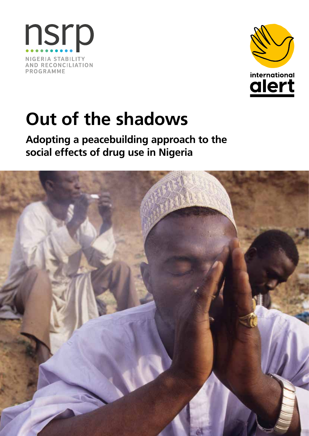



# **Out of the shadows**

**Adopting a peacebuilding approach to the social effects of drug use in Nigeria**

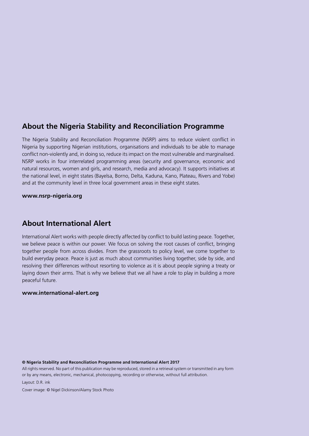#### **About the Nigeria Stability and Reconciliation Programme**

The Nigeria Stability and Reconciliation Programme (NSRP) aims to reduce violent conflict in Nigeria by supporting Nigerian institutions, organisations and individuals to be able to manage conflict non-violently and, in doing so, reduce its impact on the most vulnerable and marginalised. NSRP works in four interrelated programming areas (security and governance, economic and natural resources, women and girls, and research, media and advocacy). It supports initiatives at the national level, in eight states (Bayelsa, Borno, Delta, Kaduna, Kano, Plateau, Rivers and Yobe) and at the community level in three local government areas in these eight states.

**www.nsrp-nigeria.org**

#### **About International Alert**

International Alert works with people directly affected by conflict to build lasting peace. Together, we believe peace is within our power. We focus on solving the root causes of conflict, bringing together people from across divides. From the grassroots to policy level, we come together to build everyday peace. Peace is just as much about communities living together, side by side, and resolving their differences without resorting to violence as it is about people signing a treaty or laying down their arms. That is why we believe that we all have a role to play in building a more peaceful future.

#### **www.international-alert.org**

#### **© Nigeria Stability and Reconciliation Programme and International Alert 2017**

All rights reserved. No part of this publication may be reproduced, stored in a retrieval system or transmitted in any form or by any means, electronic, mechanical, photocopying, recording or otherwise, without full attribution.

Layout: D.R. ink

Cover image: © Nigel Dickinson/Alamy Stock Photo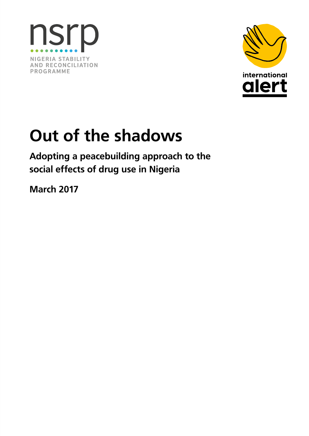



# **Out of the shadows**

**Adopting a peacebuilding approach to the social effects of drug use in Nigeria**

**March 2017**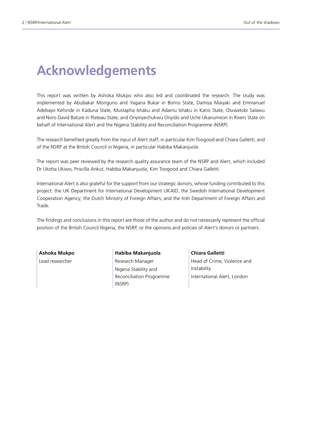# **Acknowledgements**

This report was written by Ashoka Mukpo who also led and coordinated the research. The study was implemented by Abubakar Monguno and Yagana Bukar in Borno State, Damisa Maiyaki and Emmanuel Adebayo Kehinde in Kaduna State, Mustapha Ishaku and Adamu Ishaku in Kano State, Oluwatobi Salawu and Noro David Bature in Plateau State, and Onyinyechukwu Onyido and Uche Ukanumeon in Rivers State on behalf of International Alert and the Nigeria Stability and Reconciliation Programme (NSRP).

The research benefited greatly from the input of Alert staff, in particular Kim Toogood and Chiara Galletti, and of the NSRP at the British Council in Nigeria, in particular Habiba Makanjuola.

The report was peer reviewed by the research quality assurance team of the NSRP and Alert, which included Dr Ukoha Ukiwo, Priscilla Ankut, Habiba Makanjuola, Kim Toogood and Chiara Galletti.

International Alert is also grateful for the support from our strategic donors, whose funding contributed to this project: the UK Department for International Development UKAID; the Swedish International Development Cooperation Agency; the Dutch Ministry of Foreign Affairs; and the Irish Department of Foreign Affairs and Trade.

The findings and conclusions in this report are those of the author and do not necessarily represent the official position of the British Council Nigeria, the NSRP, or the opinions and policies of Alert's donors or partners.

**Ashoka Mukpo** Lead researcher

**Habiba Makanjuola** Research Manager Nigeria Stability and Reconciliation Programme (NSRP)

**Chiara Galletti**  Head of Crime, Violence and Instability International Alert, London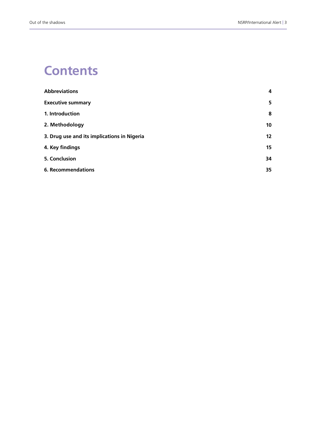### **Contents**

| <b>Abbreviations</b>                        | 4               |
|---------------------------------------------|-----------------|
| <b>Executive summary</b>                    | 5.              |
| 1. Introduction                             | 8               |
| 2. Methodology                              | 10 <sup>°</sup> |
| 3. Drug use and its implications in Nigeria | 12 <sup>2</sup> |
| 4. Key findings                             | 15              |
| 5. Conclusion                               | 34              |
| <b>6. Recommendations</b>                   | 35              |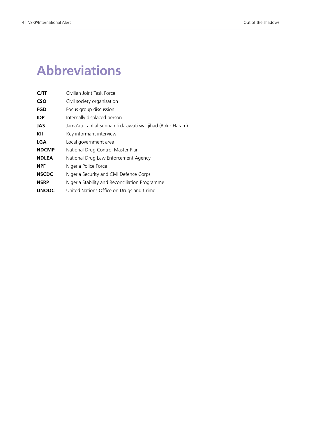# **Abbreviations**

| <b>CJTF</b>  | Civilian Joint Task Force                                  |
|--------------|------------------------------------------------------------|
| <b>CSO</b>   | Civil society organisation                                 |
| FGD          | Focus group discussion                                     |
| <b>IDP</b>   | Internally displaced person                                |
| <b>JAS</b>   | Jama'atul ahl al-sunnah li da'awati wal jihad (Boko Haram) |
| KII          | Key informant interview                                    |
| <b>LGA</b>   | Local government area                                      |
| <b>NDCMP</b> | National Drug Control Master Plan                          |
| <b>NDLEA</b> | National Drug Law Enforcement Agency                       |
| <b>NPF</b>   | Nigeria Police Force                                       |
| <b>NSCDC</b> | Nigeria Security and Civil Defence Corps                   |
| <b>NSRP</b>  | Nigeria Stability and Reconciliation Programme             |
| <b>UNODC</b> | United Nations Office on Drugs and Crime                   |
|              |                                                            |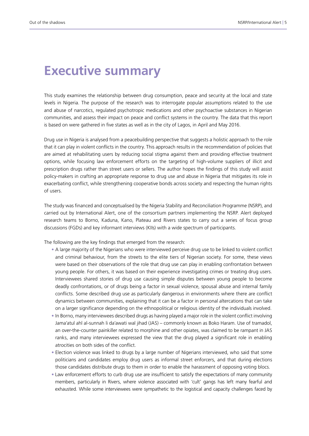### **Executive summary**

This study examines the relationship between drug consumption, peace and security at the local and state levels in Nigeria. The purpose of the research was to interrogate popular assumptions related to the use and abuse of narcotics, regulated psychotropic medications and other psychoactive substances in Nigerian communities, and assess their impact on peace and conflict systems in the country. The data that this report is based on were gathered in five states as well as in the city of Lagos, in April and May 2016.

Drug use in Nigeria is analysed from a peacebuilding perspective that suggests a holistic approach to the role that it can play in violent conflicts in the country. This approach results in the recommendation of policies that are aimed at rehabilitating users by reducing social stigma against them and providing effective treatment options, while focusing law enforcement efforts on the targeting of high-volume suppliers of illicit and prescription drugs rather than street users or sellers. The author hopes the findings of this study will assist policy-makers in crafting an appropriate response to drug use and abuse in Nigeria that mitigates its role in exacerbating conflict, while strengthening cooperative bonds across society and respecting the human rights of users.

The study was financed and conceptualised by the Nigeria Stability and Reconciliation Programme (NSRP), and carried out by International Alert, one of the consortium partners implementing the NSRP. Alert deployed research teams to Borno, Kaduna, Kano, Plateau and Rivers states to carry out a series of focus group discussions (FGDs) and key informant interviews (KIIs) with a wide spectrum of participants.

The following are the key findings that emerged from the research:

- A large majority of the Nigerians who were interviewed perceive drug use to be linked to violent conflict and criminal behaviour, from the streets to the elite tiers of Nigerian society. For some, these views were based on their observations of the role that drug use can play in enabling confrontation between young people. For others, it was based on their experience investigating crimes or treating drug users. Interviewees shared stories of drug use causing simple disputes between young people to become deadly confrontations, or of drugs being a factor in sexual violence, spousal abuse and internal family conflicts. Some described drug use as particularly dangerous in environments where there are conflict dynamics between communities, explaining that it can be a factor in personal altercations that can take on a larger significance depending on the ethnopolitical or religious identity of the individuals involved.
- In Borno, many interviewees described drugs as having played a major role in the violent conflict involving Jama'atul ahl al-sunnah li da'awati wal jihad (JAS) – commonly known as Boko Haram. Use of tramadol, an over-the-counter painkiller related to morphine and other opiates, was claimed to be rampant in JAS ranks, and many interviewees expressed the view that the drug played a significant role in enabling atrocities on both sides of the conflict.
- Election violence was linked to drugs by a large number of Nigerians interviewed, who said that some politicians and candidates employ drug users as informal street enforcers, and that during elections those candidates distribute drugs to them in order to enable the harassment of opposing voting blocs.
- Law enforcement efforts to curb drug use are insufficient to satisfy the expectations of many community members, particularly in Rivers, where violence associated with 'cult' gangs has left many fearful and exhausted. While some interviewees were sympathetic to the logistical and capacity challenges faced by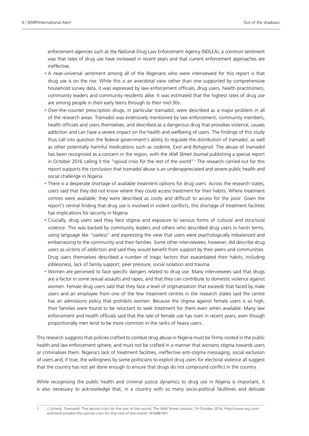enforcement agencies such as the National Drug Law Enforcement Agency (NDLEA), a common sentiment was that rates of drug use have increased in recent years and that current enforcement approaches are ineffective.

- A near-universal sentiment among all of the Nigerians who were interviewed for this report is that drug use is on the rise. While this is an anecdotal view rather than one supported by comprehensive household survey data, it was expressed by law enforcement officials, drug users, health practitioners, community leaders and community residents alike. It was estimated that the highest rates of drug use are among people in their early teens through to their mid-30s.
- Over-the-counter prescription drugs, in particular tramadol, were described as a major problem in all of the research areas. Tramadol was extensively mentioned by law enforcement, community members, health officials and users themselves, and described as a dangerous drug that provokes violence, causes addiction and can have a severe impact on the health and wellbeing of users. The findings of this study thus call into question the federal government's ability to regulate the distribution of tramadol, as well as other potentially harmful medications such as codeine, Exol and Rohypnol. The abuse of tramadol has been recognised as a concern in the region, with the *Wall Street Journal* publishing a special report in October 2016 calling it the "opioid crisis for the rest of the world".<sup>1</sup> The research carried out for this report supports the conclusion that tramadol abuse is an underappreciated and severe public health and social challenge in Nigeria.
- There is a desperate shortage of available treatment options for drug users. Across the research states, users said that they did not know where they could access treatment for their habits. Where treatment centres were available, they were described as costly and difficult to access for the poor. Given the report's central finding that drug use is involved in violent conflicts, this shortage of treatment facilities has implications for security in Nigeria.
- Crucially, drug users said they face stigma and exposure to various forms of cultural and structural violence. This was backed by community leaders and others who described drug users in harsh terms, using language like "useless" and expressing the view that users were psychologically imbalanced and embarrassing to the community and their families. Some other interviewees, however, did describe drug users as victims of addiction and said they would benefit from support by their peers and communities. Drug users themselves described a number of tragic factors that exacerbated their habits, including joblessness, lack of family support, peer pressure, social isolation and trauma.
- Women are perceived to face specific dangers related to drug use. Many interviewees said that drugs are a factor in some sexual assaults and rapes, and that they can contribute to domestic violence against women. Female drug users said that they face a level of stigmatisation that exceeds that faced by male users and an employee from one of the few treatment centres in the research states said the centre has an admissions policy that prohibits women. Because the stigma against female users is so high, their families were found to be reluctant to seek treatment for them even when available. Many law enforcement and health officials said that the rate of female use has risen in recent years, even though proportionally men tend to be more common in the ranks of heavy users.

This research suggests that policies crafted to combat drug abuse in Nigeria must be firmly rooted in the public health and law enforcement sphere, and must not be crafted in a manner that worsens stigma towards users or criminalises them. Nigeria's lack of treatment facilities, ineffective anti-stigma messaging, social exclusion of users and, if true, the willingness by some politicians to exploit drug users for electoral violence all suggest that the country has not yet done enough to ensure that drugs do not compound conflict in the country.

While recognising the public health and criminal justice dynamics to drug use in Nigeria is important, it is also necessary to acknowledge that, in a country with so many socio-political faultlines and delicate

<sup>1</sup> J. Scheck, Tramadol: The opioid crisis for the rest of the world, The Wall Street Journal, 19 October 2016, [http://www.wsj.com/](http://www.wsj.com/articles/tramadol-the-opioid-crisis-for-the-rest-of-the-world-1476887401) [articles/tramadol-the-opioid-crisis-for-the-rest-of-the-world-1476887401](http://www.wsj.com/articles/tramadol-the-opioid-crisis-for-the-rest-of-the-world-1476887401)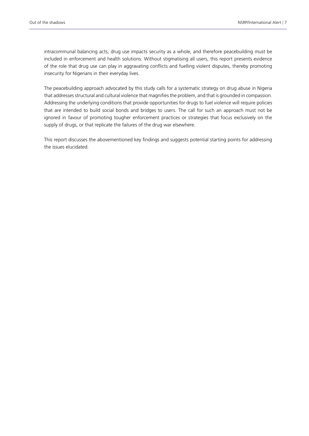intracommunal balancing acts, drug use impacts security as a whole, and therefore peacebuilding must be included in enforcement and health solutions. Without stigmatising all users, this report presents evidence of the role that drug use can play in aggravating conflicts and fuelling violent disputes, thereby promoting insecurity for Nigerians in their everyday lives.

The peacebuilding approach advocated by this study calls for a systematic strategy on drug abuse in Nigeria that addresses structural and cultural violence that magnifies the problem, and that is grounded in compassion. Addressing the underlying conditions that provide opportunities for drugs to fuel violence will require policies that are intended to build social bonds and bridges to users. The call for such an approach must not be ignored in favour of promoting tougher enforcement practices or strategies that focus exclusively on the supply of drugs, or that replicate the failures of the drug war elsewhere.

This report discusses the abovementioned key findings and suggests potential starting points for addressing the issues elucidated.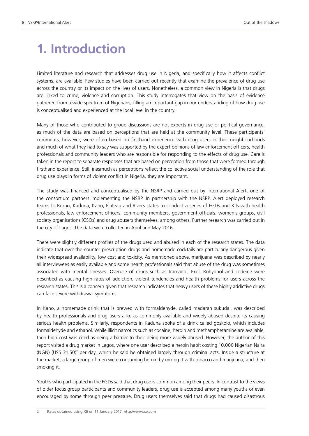# **1. Introduction**

Limited literature and research that addresses drug use in Nigeria, and specifically how it affects conflict systems, are available. Few studies have been carried out recently that examine the prevalence of drug use across the country or its impact on the lives of users. Nonetheless, a common view in Nigeria is that drugs are linked to crime, violence and corruption. This study interrogates that view on the basis of evidence gathered from a wide spectrum of Nigerians, filling an important gap in our understanding of how drug use is conceptualised and experienced at the local level in the country.

Many of those who contributed to group discussions are not experts in drug use or political governance, as much of the data are based on perceptions that are held at the community level. These participants' comments, however, were often based on firsthand experience with drug users in their neighbourhoods and much of what they had to say was supported by the expert opinions of law enforcement officers, health professionals and community leaders who are responsible for responding to the effects of drug use. Care is taken in the report to separate responses that are based on perception from those that were formed through firsthand experience. Still, inasmuch as perceptions reflect the collective social understanding of the role that drug use plays in forms of violent conflict in Nigeria, they are important.

The study was financed and conceptualised by the NSRP and carried out by International Alert, one of the consortium partners implementing the NSRP. In partnership with the NSRP, Alert deployed research teams to Borno, Kaduna, Kano, Plateau and Rivers states to conduct a series of FGDs and KIIs with health professionals, law enforcement officers, community members, government officials, women's groups, civil society organisations (CSOs) and drug abusers themselves, among others. Further research was carried out in the city of Lagos. The data were collected in April and May 2016.

There were slightly different profiles of the drugs used and abused in each of the research states. The data indicate that over-the-counter prescription drugs and homemade cocktails are particularly dangerous given their widespread availability, low cost and toxicity. As mentioned above, marijuana was described by nearly all interviewees as easily available and some health professionals said that abuse of the drug was sometimes associated with mental illnesses. Overuse of drugs such as tramadol, Exol, Rohypnol and codeine were described as causing high rates of addiction, violent tendencies and health problems for users across the research states. This is a concern given that research indicates that heavy users of these highly addictive drugs can face severe withdrawal symptoms.

In Kano, a homemade drink that is brewed with formaldehyde, called madaran sukudai, was described by health professionals and drug users alike as commonly available and widely abused despite its causing serious health problems. Similarly, respondents in Kaduna spoke of a drink called goskolo, which includes formaldehyde and ethanol. While illicit narcotics such as cocaine, heroin and methamphetamine are available, their high cost was cited as being a barrier to their being more widely abused. However, the author of this report visited a drug market in Lagos, where one user described a heroin habit costing 10,000 Nigerian Naira (NGN) (US\$ 31.50)<sup>2</sup> per day, which he said he obtained largely through criminal acts. Inside a structure at the market, a large group of men were consuming heroin by mixing it with tobacco and marijuana, and then smoking it.

Youths who participated in the FGDs said that drug use is common among their peers. In contrast to the views of older focus group participants and community leaders, drug use is accepted among many youths or even encouraged by some through peer pressure. Drug users themselves said that drugs had caused disastrous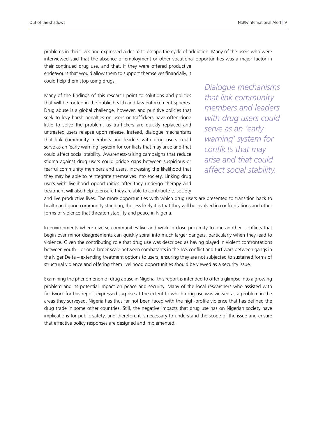problems in their lives and expressed a desire to escape the cycle of addiction. Many of the users who were interviewed said that the absence of employment or other vocational opportunities was a major factor in

their continued drug use, and that, if they were offered productive endeavours that would allow them to support themselves financially, it could help them stop using drugs.

Many of the findings of this research point to solutions and policies that will be rooted in the public health and law enforcement spheres. Drug abuse is a global challenge, however, and punitive policies that seek to levy harsh penalties on users or traffickers have often done little to solve the problem, as traffickers are quickly replaced and untreated users relapse upon release. Instead, dialogue mechanisms that link community members and leaders with drug users could serve as an 'early warning' system for conflicts that may arise and that could affect social stability. Awareness-raising campaigns that reduce stigma against drug users could bridge gaps between suspicious or fearful community members and users, increasing the likelihood that they may be able to reintegrate themselves into society. Linking drug users with livelihood opportunities after they undergo therapy and treatment will also help to ensure they are able to contribute to society

*Dialogue mechanisms that link community members and leaders with drug users could serve as an 'early warning' system for conflicts that may arise and that could affect social stability.*

and live productive lives. The more opportunities with which drug users are presented to transition back to health and good community standing, the less likely it is that they will be involved in confrontations and other forms of violence that threaten stability and peace in Nigeria.

In environments where diverse communities live and work in close proximity to one another, conflicts that begin over minor disagreements can quickly spiral into much larger dangers, particularly when they lead to violence. Given the contributing role that drug use was described as having played in violent confrontations between youth – or on a larger scale between combatants in the JAS conflict and turf wars between gangs in the Niger Delta – extending treatment options to users, ensuring they are not subjected to sustained forms of structural violence and offering them livelihood opportunities should be viewed as a security issue.

Examining the phenomenon of drug abuse in Nigeria, this report is intended to offer a glimpse into a growing problem and its potential impact on peace and security. Many of the local researchers who assisted with fieldwork for this report expressed surprise at the extent to which drug use was viewed as a problem in the areas they surveyed. Nigeria has thus far not been faced with the high-profile violence that has defined the drug trade in some other countries. Still, the negative impacts that drug use has on Nigerian society have implications for public safety, and therefore it is necessary to understand the scope of the issue and ensure that effective policy responses are designed and implemented.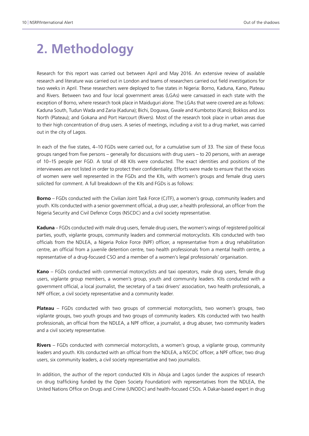# **2. Methodology**

Research for this report was carried out between April and May 2016. An extensive review of available research and literature was carried out in London and teams of researchers carried out field investigations for two weeks in April. These researchers were deployed to five states in Nigeria: Borno, Kaduna, Kano, Plateau and Rivers. Between two and four local government areas (LGAs) were canvassed in each state with the exception of Borno, where research took place in Maiduguri alone. The LGAs that were covered are as follows: Kaduna South, Tudun Wada and Zaria (Kaduna); Bichi, Doguwa, Gwale and Kumbotso (Kano); Bokkos and Jos North (Plateau); and Gokana and Port Harcourt (Rivers). Most of the research took place in urban areas due to their high concentration of drug users. A series of meetings, including a visit to a drug market, was carried out in the city of Lagos.

In each of the five states, 4–10 FGDs were carried out, for a cumulative sum of 33. The size of these focus groups ranged from five persons – generally for discussions with drug users – to 20 persons, with an average of 10–15 people per FGD. A total of 48 KIIs were conducted. The exact identities and positions of the interviewees are not listed in order to protect their confidentiality. Efforts were made to ensure that the voices of women were well represented in the FGDs and the KIIs, with women's groups and female drug users solicited for comment. A full breakdown of the KIIs and FGDs is as follows:

**Borno** – FGDs conducted with the Civilian Joint Task Force (CJTF), a women's group, community leaders and youth. KIIs conducted with a senior government official, a drug user, a health professional, an officer from the Nigeria Security and Civil Defence Corps (NSCDC) and a civil society representative.

**Kaduna** – FGDs conducted with male drug users, female drug users, the women's wings of registered political parties, youth, vigilante groups, community leaders and commercial motorcyclists. KIIs conducted with two officials from the NDLEA, a Nigeria Police Force (NPF) officer, a representative from a drug rehabilitation centre, an official from a juvenile detention centre, two health professionals from a mental health centre, a representative of a drug-focused CSO and a member of a women's legal professionals' organisation.

**Kano** – FGDs conducted with commercial motorcyclists and taxi operators, male drug users, female drug users, vigilante group members, a women's group, youth and community leaders. KIIs conducted with a government official, a local journalist, the secretary of a taxi drivers' association, two health professionals, a NPF officer, a civil society representative and a community leader.

**Plateau** – FGDs conducted with two groups of commercial motorcyclists, two women's groups, two vigilante groups, two youth groups and two groups of community leaders. KIIs conducted with two health professionals, an official from the NDLEA, a NPF officer, a journalist, a drug abuser, two community leaders and a civil society representative.

**Rivers** – FGDs conducted with commercial motorcyclists, a women's group, a vigilante group, community leaders and youth. KIIs conducted with an official from the NDLEA, a NSCDC officer, a NPF officer, two drug users, six community leaders, a civil society representative and two journalists.

In addition, the author of the report conducted KIIs in Abuja and Lagos (under the auspices of research on drug trafficking funded by the Open Society Foundation) with representatives from the NDLEA, the United Nations Office on Drugs and Crime (UNODC) and health-focused CSOs. A Dakar-based expert in drug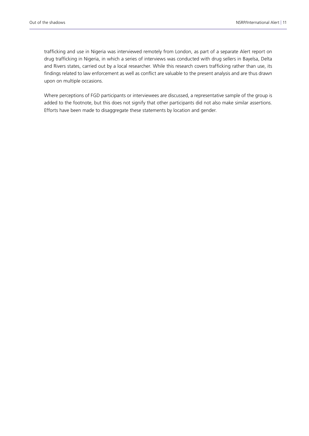trafficking and use in Nigeria was interviewed remotely from London, as part of a separate Alert report on drug trafficking in Nigeria, in which a series of interviews was conducted with drug sellers in Bayelsa, Delta and Rivers states, carried out by a local researcher. While this research covers trafficking rather than use, its findings related to law enforcement as well as conflict are valuable to the present analysis and are thus drawn upon on multiple occasions.

Where perceptions of FGD participants or interviewees are discussed, a representative sample of the group is added to the footnote, but this does not signify that other participants did not also make similar assertions. Efforts have been made to disaggregate these statements by location and gender.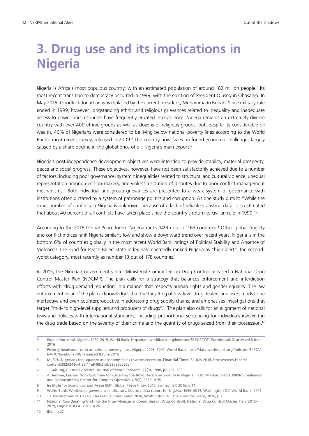# **3. Drug use and its implications in Nigeria**

Nigeria is Africa's most populous country, with an estimated population of around 182 million people.<sup>3</sup> Its most recent transition to democracy occurred in 1999, with the election of President Olusegun Obasanjo. In May 2015, Goodluck Jonathan was replaced by the current president, Muhammadu Buhari. Since military rule ended in 1999, however, longstanding ethnic and religious grievances related to inequality and inadequate access to power and resources have frequently erupted into violence. Nigeria remains an extremely diverse country with over 400 ethnic groups as well as dozens of religious groups, but, despite its considerable oil wealth, 46% of Nigerians were considered to be living below national poverty lines according to the World Bank's most recent survey, released in 2009.<sup>4</sup> The country now faces profound economic challenges largely caused by a sharp decline in the global price of oil, Nigeria's main export.5

Nigeria's post-independence development objectives were intended to provide stability, material prosperity, peace and social progress. These objectives, however, have not been satisfactorily achieved due to a number of factors, including poor governance, systemic inequalities related to structural and cultural violence, unequal representation among decision-makers, and violent resolution of disputes due to poor conflict management mechanisms.<sup>6</sup> Both individual and group grievances are presented to a weak system of governance with institutions often dictated by a system of patronage politics and corruption. As one study puts it: "While the exact number of conflicts in Nigeria is unknown, because of a lack of reliable statistical data, it is estimated that about 40 percent of all conflicts have taken place since the country's return to civilian rule in 1999."<sup>7</sup>

According to the 2016 Global Peace Index, Nigeria ranks 149th out of 163 countries.<sup>8</sup> Other global fragility and conflict indices rank Nigeria similarly low and show a downward trend over recent years. Nigeria is in the bottom 6% of countries globally in the most recent World Bank ratings of Political Stability and Absence of Violence.9 The Fund for Peace Failed State Index has repeatedly ranked Nigeria as "high alert", the secondworst category, most recently as number 13 out of 178 countries.<sup>10</sup>

In 2015, the Nigerian government's Inter-Ministerial Committee on Drug Control released a National Drug Control Master Plan (NDCMP). The plan calls for a strategy that balances enforcement and interdiction efforts with 'drug demand reduction' in a manner that respects human rights and gender equality. The law enforcement pillar of the plan acknowledges that the targeting of low-level drug dealers and users tends to be ineffective and even counterproductive in addressing drug supply chains, and emphasises investigations that target "mid- to high-level suppliers and producers of drugs".11 The plan also calls for an alignment of national laws and policies with international standards, including proportional sentencing for individuals involved in the drug trade based on the severity of their crime and the quantity of drugs seized from their possession.12

<sup>3</sup> Population, total, Nigeria, 1960–2015, World Bank, <http://data.worldbank.org/indicator/SP.POP.TOTL?locations=NG>, accessed 8 June 2016

<sup>4</sup> Poverty headcount ratio at national poverty lines, Nigeria, 2003–2009, World Bank, [http://data.worldbank.org/indicator/SI.POV.](http://data.worldbank.org/indicator/SI.POV.NAHC?locations=NG) [NAHC?locations=NG](http://data.worldbank.org/indicator/SI.POV.NAHC?locations=NG), accessed 8 June 2016

<sup>5</sup> M. Fick, Nigerians feel squeeze as economy slides towards recession, Financial Times, 31 July 2016, [https://www.ft.com/](https://www.ft.com/content/2829241c-4f32-11e6-88c5-db83e98a590a) [content/2829241c-4f32-11e6-88c5-db83e98a590a](https://www.ft.com/content/2829241c-4f32-11e6-88c5-db83e98a590a) 

<sup>6</sup> J. Galtung, Cultural violence, Journal of Peace Research, 27(3), 1990, pp.291–305

<sup>7</sup> A. Jerome, Lessons from Colombia for curtailing the Boko Haram insurgency in Nigeria, in M. Miklaucic (ed.), PRISM Challenges and Opportunities, Center for Complex Operations, 5(2), 2015, p.95

<sup>8</sup> Institute for Economics and Peace (IEP), Global Peace Index 2016, Sydney: IEP, 2016, p.11

<sup>9</sup> World Bank, Worldwide governance indicators: Country data report for Nigeria, 1996–2014, Washington DC: World Bank, 2015

<sup>10</sup> J.J. Messner and N. Haken, The Fragile States Index 2016, Washington DC: The Fund for Peace, 2016, p.7

<sup>11</sup> National Coordinating Unit (for the Inter-Ministerial Committee on Drug Control), National Drug Control Master Plan, 2015– 2019, Lagos: NDLEA, 2015, p.26

<sup>12</sup> Ibid., p.27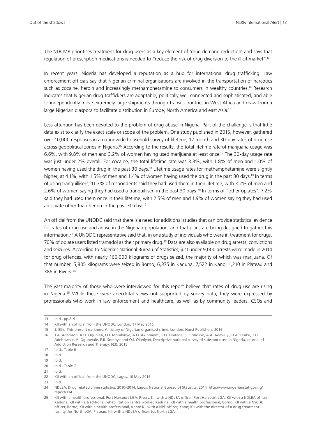The NDCMP prioritises treatment for drug users as a key element of 'drug demand reduction' and says that regulation of prescription medications is needed to "reduce the risk of drug diversion to the illicit market".13

In recent years, Nigeria has developed a reputation as a hub for international drug trafficking. Law enforcement officials say that Nigerian criminal organisations are involved in the transportation of narcotics such as cocaine, heroin and increasingly methamphetamine to consumers in wealthy countries.<sup>14</sup> Research indicates that Nigerian drug traffickers are adaptable, politically well connected and sophisticated, and able to independently move extremely large shipments through transit countries in West Africa and draw from a large Nigerian diaspora to facilitate distribution in Europe, North America and east Asia.<sup>15</sup>

Less attention has been devoted to the problem of drug abuse in Nigeria. Part of the challenge is that little data exist to clarify the exact scale or scope of the problem. One study published in 2015, however, gathered over 10,000 responses in a nationwide household survey of lifetime, 12-month and 30-day rates of drug use across geopolitical zones in Nigeria.<sup>16</sup> According to the results, the total lifetime rate of marijuana usage was 6.6%, with 9.8% of men and 3.2% of women having used marijuana at least once.17 The 30-day usage rate was just under 2% overall. For cocaine, the total lifetime rate was 3.3%, with 1.8% of men and 1.0% of women having used the drug in the past 30 days.<sup>18</sup> Lifetime usage rates for methamphetamine were slightly higher, at 4.1%, with 1.5% of men and 1.4% of women having used the drug in the past 30 days.<sup>19</sup> In terms of using tranquillisers, 11.3% of respondents said they had used them in their lifetime, with 3.2% of men and 2.6% of women saying they had used a tranquilliser in the past 30 days.<sup>20</sup> In terms of "other opiates", 7.2% said they had used them once in their lifetime, with 2.5% of men and 1.9% of women saying they had used an opiate other than heroin in the past 30 days.<sup>21</sup>

An official from the UNODC said that there is a need for additional studies that can provide statistical evidence for rates of drug use and abuse in the Nigerian population, and that plans are being designed to gather this information.22 A UNODC representative said that, in one study of individuals who were in treatment for drugs, 70% of opiate users listed tramadol as their primary drug.<sup>23</sup> Data are also available on drug arrests, convictions and seizures. According to Nigeria's National Bureau of Statistics, just under 9,000 arrests were made in 2014 for drug offences, with nearly 166,000 kilograms of drugs seized, the majority of which was marijuana. Of that number, 5,805 kilograms were seized in Borno, 6,375 in Kaduna, 7,522 in Kano, 1,210 in Plateau and 386 in Rivers.24

The vast majority of those who were interviewed for this report believe that rates of drug use are rising in Nigeria.<sup>25</sup> While these were anecdotal views not supported by survey data, they were expressed by professionals who work in law enforcement and healthcare, as well as by community leaders, CSOs and

21 Ibid.

23 Ibid.

<sup>13</sup> Ibid., pp.8–9

<sup>14</sup> KII with an official from the UNODC, London, 17 May 2016

<sup>15</sup> S. Ellis, This present darkness: A history of Nigerian organised crime, London: Hurst Publishers, 2016

<sup>16</sup> T.A. Adamson, A.O. Ogunlesi, O.I. Morakinyo, A.O. Akinhanmi, P.O. Onifade, O. Erinosho, A.A. Adewuyi, D.A. Fasiku, T.O. Adebowale, A. Ogunwale, E.B. Somoye and O.I. Olaniyan, Descriptive national survey of substance use in Nigeria, Journal of Addiction Research and Therapy, 6(3), 2015

<sup>17</sup> Ibid., Table 6

<sup>18</sup> Ibid.

<sup>19</sup> Ibid.

<sup>20</sup> Ibid., Table 7

<sup>22</sup> KII with an official from the UNODC, Lagos, 10 May 2016

<sup>24</sup> NDLEA, Drug related crime statistics: 2010–2014, Lagos: National Bureau of Statistics, 2014, [http://www.nigerianstat.gov.ng/](http://www.nigerianstat.gov.ng/report/314) [report/314](http://www.nigerianstat.gov.ng/report/314)

<sup>25</sup> KII with a health professional, Port Harcourt LGA, Rivers; KII with a NDLEA officer, Port Harcourt LGA; KII with a NDLEA officer, Kaduna; KII with a traditional rehabilitation centre worker, Kaduna; KII with a health professional, Borno; KII with a NSCDC officer, Borno; KII with a health professional, Kano; KII with a NPF officer, Kano; KII with the director of a drug treatment facility, Jos North LGA, Plateau; KII with a NDLEA officer, Jos North LGA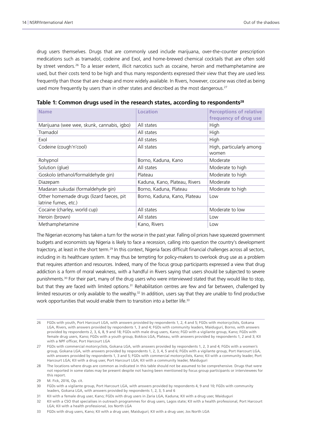drug users themselves. Drugs that are commonly used include marijuana, over-the-counter prescription medications such as tramadol, codeine and Exol, and home-brewed chemical cocktails that are often sold by street vendors.<sup>26</sup> To a lesser extent, illicit narcotics such as cocaine, heroin and methamphetamine are used, but their costs tend to be high and thus many respondents expressed their view that they are used less frequently than those that are cheap and more widely available. In Rivers, however, cocaine was cited as being used more frequently by users than in other states and described as the most dangerous.<sup>27</sup>

| <b>Name</b>                                                      | Location                      | <b>Perceptions of relative</b><br>frequency of drug use |
|------------------------------------------------------------------|-------------------------------|---------------------------------------------------------|
| Marijuana (wee wee, skunk, cannabis, igbo)                       | All states                    | High                                                    |
| Tramadol                                                         | All states                    | High                                                    |
| Exol                                                             | All states                    | High                                                    |
| Codeine (cough'n'cool)                                           | All states                    | High, particularly among<br>women                       |
| Rohypnol                                                         | Borno, Kaduna, Kano           | Moderate                                                |
| Solution (glue)                                                  | All states                    | Moderate to high                                        |
| Goskolo (ethanol/formaldehyde gin)                               | Plateau                       | Moderate to high                                        |
| Diazepam                                                         | Kaduna, Kano, Plateau, Rivers | Moderate                                                |
| Madaran sukudai (formaldehyde gin)                               | Borno, Kaduna, Plateau        | Moderate to high                                        |
| Other homemade drugs (lizard faeces, pit<br>latrine fumes, etc.) | Borno, Kaduna, Kano, Plateau  | Low                                                     |
| Cocaine (charley, world cup)                                     | All states                    | Moderate to low                                         |
| Heroin (brown)                                                   | All states                    | Low                                                     |
| Methamphetamine                                                  | Kano, Rivers                  | Low                                                     |

|  |  |  |  |  |  |  | Table 1: Common drugs used in the research states, according to respondents $^{28}$ |
|--|--|--|--|--|--|--|-------------------------------------------------------------------------------------|
|--|--|--|--|--|--|--|-------------------------------------------------------------------------------------|

The Nigerian economy has taken a turn for the worse in the past year. Falling oil prices have squeezed government budgets and economists say Nigeria is likely to face a recession, calling into question the country's development trajectory, at least in the short term.29 In this context, Nigeria faces difficult financial challenges across all sectors, including in its healthcare system. It may thus be tempting for policy-makers to overlook drug use as a problem that requires attention and resources. Indeed, many of the focus group participants expressed a view that drug addiction is a form of moral weakness, with a handful in Rivers saying that users should be subjected to severe punishments.30 For their part, many of the drug users who were interviewed stated that they would like to stop, but that they are faced with limited options.<sup>31</sup> Rehabilitation centres are few and far between, challenged by limited resources or only available to the wealthy.<sup>32</sup> In addition, users say that they are unable to find productive work opportunities that would enable them to transition into a better life.<sup>33</sup>

<sup>26</sup> FGDs with youth, Port Harcourt LGA, with answers provided by respondents 1, 2, 4 and 5; FGDs with motorcyclists, Gokana LGA, Rivers, with answers provided by respondents 1, 3 and 4; FGDs with community leaders, Maiduguri, Borno, with answers provided by respondents 2, 3, 6, 8, 9 and 18; FGDs with male drug users, Kano; FGD with a vigilante group, Kano; FGDs with female drug users, Kano; FGDs with a youth group, Bokkos LGA, Plateau, with answers provided by respondents 1, 2 and 3; KII with a NPF officer, Port Harcourt LGA

<sup>27</sup> FGDs with commercial motorcyclists, Gokana LGA, with answers provided by respondents 1, 2, 3 and 4; FGDs with a women's group, Gokana LGA, with answers provided by respondents 1, 2, 3, 4, 5 and 6; FGDs with a vigilante group, Port Harcourt LGA, with answers provided by respondents 1, 3 and 5; FGDs with commercial motorcyclists, Kano; KII with a community leader, Port Harcourt LGA; KII with a drug user, Port Harcourt LGA; KII with a community leader, Maiduguri

<sup>28</sup> The locations where drugs are common as indicated in this table should not be assumed to be comprehensive. Drugs that were not reported in some states may be present despite not having been mentioned by focus group participants or interviewees for this report.

<sup>29</sup> M. Fick, 2016, Op. cit.

<sup>30</sup> FGDs with a vigilante group, Port Harcourt LGA, with answers provided by respondents 4, 9 and 10; FGDs with community leaders, Gokana LGA, with answers provided by respondents 1, 2, 3, 5 and 6

<sup>31</sup> KII with a female drug user, Kano; FGDs with drug users in Zaria LGA, Kaduna; KII with a drug user, Maiduguri

<sup>32</sup> KII with a CSO that specialises in outreach programmes for drug users, Lagos state; KII with a health professional, Port Harcourt LGA; KII with a health professional, Jos North LGA

<sup>33</sup> FGDs with drug users, Kano; KII with a drug user, Maiduguri; KII with a drug user, Jos North LGA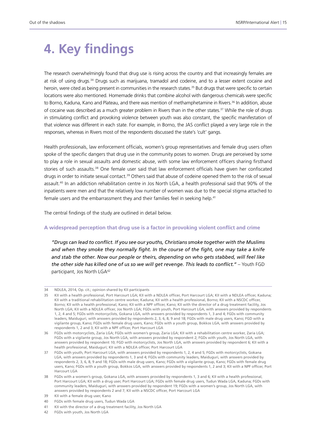# **4. Key findings**

The research overwhelmingly found that drug use is rising across the country and that increasingly females are at risk of using drugs.34 Drugs such as marijuana, tramadol and codeine, and to a lesser extent cocaine and heroin, were cited as being present in communities in the research states.<sup>35</sup> But drugs that were specific to certain locations were also mentioned. Homemade drinks that combine alcohol with dangerous chemicals were specific to Borno, Kaduna, Kano and Plateau, and there was mention of methamphetamine in Rivers.<sup>36</sup> In addition, abuse of cocaine was described as a much greater problem in Rivers than in the other states.<sup>37</sup> While the role of drugs in stimulating conflict and provoking violence between youth was also constant, the specific manifestation of that violence was different in each state. For example, in Borno, the JAS conflict played a very large role in the responses, whereas in Rivers most of the respondents discussed the state's 'cult' gangs.

Health professionals, law enforcement officials, women's group representatives and female drug users often spoke of the specific dangers that drug use in the community poses to women. Drugs are perceived by some to play a role in sexual assaults and domestic abuse, with some law enforcement officers sharing firsthand stories of such assaults.<sup>38</sup> One female user said that law enforcement officials have given her confiscated drugs in order to initiate sexual contact.<sup>39</sup> Others said that abuse of codeine opened them to the risk of sexual assault.40 In an addiction rehabilitation centre in Jos North LGA, a health professional said that 90% of the inpatients were men and that the relatively low number of women was due to the special stigma attached to female users and the embarrassment they and their families feel in seeking help.<sup>41</sup>

The central findings of the study are outlined in detail below.

#### **A widespread perception that drug use is a factor in provoking violent conflict and crime**

*"Drugs can lead to conflict. If you see our youths, Christians smoke together with the Muslims and when they smoke they normally fight. In the course of the fight, one may take a knife and stab the other. Now our people or theirs, depending on who gets stabbed, will feel like the other side has killed one of us so we will get revenge. This leads to conflict."* – Youth FGD participant, Jos North LGA<sup>42</sup>

<sup>34</sup> NDLEA, 2014, Op. cit.; opinion shared by KII participants

<sup>35</sup> KII with a health professional, Port Harcourt LGA; KII with a NDLEA officer, Port Harcourt LGA; KII with a NDLEA officer, Kaduna; KII with a traditional rehabilitation centre worker, Kaduna; KII with a health professional, Borno; KII with a NSCDC officer, Borno; KII with a health professional, Kano; KII with a NPF officer, Kano; KII with the director of a drug treatment facility, Jos North LGA; KII with a NDLEA officer, Jos North LGA; FGDs with youth, Port Harcourt LGA, with answers provided by respondents 1, 2, 4 and 5; FGDs with motorcyclists, Gokana LGA, with answers provided by respondents 1, 3 and 4; FGDs with community leaders, Maiduguri, with answers provided by respondents 2, 3, 6, 8, 9 and 18; FGDs with male drug users, Kano; FGD with a vigilante group, Kano; FGDs with female drug users, Kano; FGDs with a youth group, Bokkos LGA, with answers provided by respondents 1, 2 and 3; KII with a NPF officer, Port Harcourt LGA

<sup>36</sup> FGDs with motorcyclists, Zaria LGA; FGDs with women's group, Zaria LGA; KII with a rehabilitation centre worker, Zaria LGA; FGDs with a vigilante group, Jos North LGA, with answers provided by respondent 2; FGDs with youth, Jos North LGA, with answers provided by respondent 10; FGD with motorcyclists, Jos North LGA, with answers provided by respondent 6; KII with a health professional, Maiduguri; KII with a NDLEA officer, Port Harcourt LGA

<sup>37</sup> FGDs with youth, Port Harcourt LGA, with answers provided by respondents 1, 2, 4 and 5; FGDs with motorcyclists, Gokana LGA, with answers provided by respondents 1, 3 and 4; FGDs with community leaders, Maiduguri, with answers provided by respondents 2, 3, 6, 8, 9 and 18; FGDs with male drug users, Kano; FGDs with a vigilante group, Kano; FGDs with female drug users, Kano; FGDs with a youth group, Bokkos LGA, with answers provided by respondents 1, 2 and 3; KII with a NPF officer, Port Harcourt LGA

<sup>38</sup> FGDs with a women's group, Gokana LGA, with answers provided by respondents 1, 3 and 6; KII with a health professional, Port Harcourt LGA; KII with a drug user, Port Harcourt LGA; FGDs with female drug users, Tudun Wada LGA, Kaduna; FGDs with community leaders, Maiduguri, with answers provided by respondent 19; FGDs with a women's group, Jos North LGA, with answers provided by respondents 2 and 7; KII with a NSCDC officer, Port Harcourt LGA

<sup>39</sup> KII with a female drug user, Kano

<sup>40</sup> FGDs with female drug users, Tudun Wada LGA

<sup>41</sup> KII with the director of a drug treatment facility, Jos North LGA

<sup>42</sup> FGDs with youth, Jos North LGA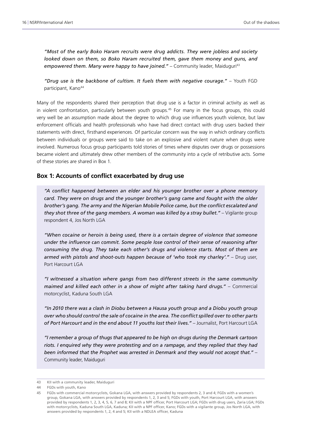*"Most of the early Boko Haram recruits were drug addicts. They were jobless and society*  looked down on them, so Boko Haram recruited them, gave them money and guns, and empowered them. Many were happy to have joined." – Community leader, Maiduguri<sup>43</sup>

*"Drug use is the backbone of cultism. It fuels them with negative courage."* – Youth FGD participant, Kano<sup>44</sup>

Many of the respondents shared their perception that drug use is a factor in criminal activity as well as in violent confrontation, particularly between youth groups.<sup>45</sup> For many in the focus groups, this could very well be an assumption made about the degree to which drug use influences youth violence, but law enforcement officials and health professionals who have had direct contact with drug users backed their statements with direct, firsthand experiences. Of particular concern was the way in which ordinary conflicts between individuals or groups were said to take on an explosive and violent nature when drugs were involved. Numerous focus group participants told stories of times where disputes over drugs or possessions became violent and ultimately drew other members of the community into a cycle of retributive acts. Some of these stories are shared in Box 1.

#### **Box 1: Accounts of conflict exacerbated by drug use**

*"A conflict happened between an elder and his younger brother over a phone memory card. They were on drugs and the younger brother's gang came and fought with the older brother's gang. The army and the Nigerian Mobile Police came, but the conflict escalated and they shot three of the gang members. A woman was killed by a stray bullet."* – Vigilante group respondent 4, Jos North LGA

*"When cocaine or heroin is being used, there is a certain degree of violence that someone under the influence can commit. Some people lose control of their sense of reasoning after consuming the drug. They take each other's drugs and violence starts. Most of them are armed with pistols and shoot-outs happen because of 'who took my charley'."* – Drug user, Port Harcourt LGA

*"I witnessed a situation where gangs from two different streets in the same community maimed and killed each other in a show of might after taking hard drugs."* – Commercial motorcyclist, Kaduna South LGA

*"In 2010 there was a clash in Diobu between a Hausa youth group and a Diobu youth group over who should control the sale of cocaine in the area. The conflict spilled over to other parts of Port Harcourt and in the end about 11 youths lost their lives."* – Journalist, Port Harcourt LGA

*"I remember a group of thugs that appeared to be high on drugs during the Denmark cartoon riots. I enquired why they were protesting and on a rampage, and they replied that they had been informed that the Prophet was arrested in Denmark and they would not accept that."* – Community leader, Maiduguri

<sup>43</sup> KII with a community leader, Maiduguri

<sup>44</sup> FGDs with youth, Kano

<sup>45</sup> FGDs with commercial motorcyclists, Gokana LGA, with answers provided by respondents 2, 3 and 4; FGDs with a women's group, Gokana LGA, with answers provided by respondents 1, 2, 3 and 5; FGDs with youth, Port Harcourt LGA, with answers provided by respondents 1, 2, 3, 4, 5, 6, 7 and 8; KII with a NPF officer, Port Harcourt LGA; FGDs with drug users, Zaria LGA; FGDs with motorcyclists, Kaduna South LGA, Kaduna; KII with a NPF officer, Kano; FGDs with a vigilante group, Jos North LGA, with answers provided by respondents 1, 2, 4 and 5; KII with a NDLEA officer, Kaduna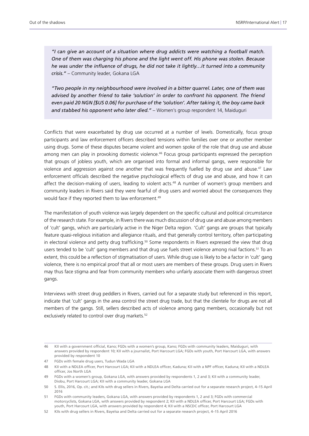*"I can give an account of a situation where drug addicts were watching a football match. One of them was charging his phone and the light went off. His phone was stolen. Because he was under the influence of drugs, he did not take it lightly…it turned into a community crisis."* – Community leader, Gokana LGA

*"Two people in my neighbourhood were involved in a bitter quarrel. Later, one of them was*  advised by another friend to take 'solution' in order to confront his opponent. The friend *even paid 20 NGN [\$US 0.06] for purchase of the 'solution'. After taking it, the boy came back and stabbed his opponent who later died."* – Women's group respondent 14, Maiduguri

Conflicts that were exacerbated by drug use occurred at a number of levels. Domestically, focus group participants and law enforcement officers described tensions within families over one or another member using drugs. Some of these disputes became violent and women spoke of the role that drug use and abuse among men can play in provoking domestic violence.<sup>46</sup> Focus group participants expressed the perception that groups of jobless youth, which are organised into formal and informal gangs, were responsible for violence and aggression against one another that was frequently fuelled by drug use and abuse.<sup>47</sup> Law enforcement officials described the negative psychological effects of drug use and abuse, and how it can affect the decision-making of users, leading to violent acts.<sup>48</sup> A number of women's group members and community leaders in Rivers said they were fearful of drug users and worried about the consequences they would face if they reported them to law enforcement.<sup>49</sup>

The manifestation of youth violence was largely dependent on the specific cultural and political circumstance of the research state. For example, in Rivers there was much discussion of drug use and abuse among members of 'cult' gangs, which are particularly active in the Niger Delta region. 'Cult' gangs are groups that typically feature quasi-religious initiation and allegiance rituals, and that generally control territory, often participating in electoral violence and petty drug trafficking.<sup>50</sup> Some respondents in Rivers expressed the view that drug users tended to be 'cult' gang members and that drug use fuels street violence among rival factions.<sup>51</sup> To an extent, this could be a reflection of stigmatisation of users. While drug use is likely to be a factor in 'cult' gang violence, there is no empirical proof that all or most users are members of these groups. Drug users in Rivers may thus face stigma and fear from community members who unfairly associate them with dangerous street gangs.

Interviews with street drug peddlers in Rivers, carried out for a separate study but referenced in this report, indicate that 'cult' gangs in the area control the street drug trade, but that the clientele for drugs are not all members of the gangs. Still, sellers described acts of violence among gang members, occasionally but not exclusively related to control over drug markets.<sup>52</sup>

<sup>46</sup> KII with a government official, Kano; FGDs with a women's group, Kano; FGDs with community leaders, Maiduguri, with answers provided by respondent 10; KII with a journalist, Port Harcourt LGA; FGDs with youth, Port Harcourt LGA, with answers provided by respondent 10

<sup>47</sup> FGDs with female drug users, Tudun Wada LGA

<sup>48</sup> KII with a NDLEA officer, Port Harcourt LGA; KII with a NDLEA officer, Kaduna; KII with a NPF officer, Kaduna; KII with a NDLEA officer, Jos North LGA

<sup>49</sup> FGDs with a women's group, Gokana LGA, with answers provided by respondents 1, 2 and 3; KII with a community leader, Diobu, Port Harcourt LGA; KII with a community leader, Gokana LGA

<sup>50</sup> S. Ellis, 2016, Op. cit.; and KIIs with drug sellers in Rivers, Bayelsa and Delta carried out for a separate research project, 4–15 April 2016

<sup>51</sup> FGDs with community leaders, Gokana LGA, with answers provided by respondents 1, 2 and 3; FGDs with commercial motorcyclists, Gokana LGA, with answers provided by respondent 2; KII with a NDLEA officer, Port Harcourt LGA; FGDs with youth, Port Harcourt LGA, with answers provided by respondent 4; KII with a NSCDC officer, Port Harcourt LGA

<sup>52</sup> KIIs with drug sellers in Rivers, Bayelsa and Delta carried out for a separate research project, 4–15 April 2016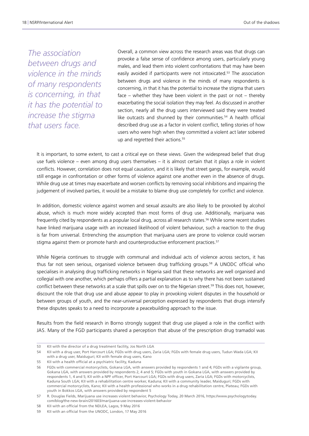*The association between drugs and violence in the minds of many respondents is concerning, in that it has the potential to increase the stigma that users face.*

Overall, a common view across the research areas was that drugs can provoke a false sense of confidence among users, particularly young males, and lead them into violent confrontations that may have been easily avoided if participants were not intoxicated.<sup>53</sup> The association between drugs and violence in the minds of many respondents is concerning, in that it has the potential to increase the stigma that users face – whether they have been violent in the past or not – thereby exacerbating the social isolation they may feel. As discussed in another section, nearly all the drug users interviewed said they were treated like outcasts and shunned by their communities.<sup>54</sup> A health official described drug use as a factor in violent conflict, telling stories of how users who were high when they committed a violent act later sobered up and regretted their actions.<sup>55</sup>

It is important, to some extent, to cast a critical eye on these views. Given the widespread belief that drug use fuels violence – even among drug users themselves – it is almost certain that it plays a role in violent conflicts. However, correlation does not equal causation, and it is likely that street gangs, for example, would still engage in confrontation or other forms of violence against one another even in the absence of drugs. While drug use at times may exacerbate and worsen conflicts by removing social inhibitions and impairing the judgement of involved parties, it would be a mistake to blame drug use completely for conflict and violence.

In addition, domestic violence against women and sexual assaults are also likely to be provoked by alcohol abuse, which is much more widely accepted than most forms of drug use. Additionally, marijuana was frequently cited by respondents as a popular local drug, across all research states.<sup>56</sup> While some recent studies have linked marijuana usage with an increased likelihood of violent behaviour, such a reaction to the drug is far from universal. Entrenching the assumption that marijuana users are prone to violence could worsen stigma against them or promote harsh and counterproductive enforcement practices.<sup>57</sup>

While Nigeria continues to struggle with communal and individual acts of violence across sectors, it has thus far not seen serious, organised violence between drug trafficking groups.58 A UNODC official who specialises in analysing drug trafficking networks in Nigeria said that these networks are well organised and collegial with one another, which perhaps offers a partial explanation as to why there has not been sustained conflict between these networks at a scale that spills over on to the Nigerian street.<sup>59</sup> This does not, however, discount the role that drug use and abuse appear to play in provoking violent disputes in the household or between groups of youth, and the near-universal perception expressed by respondents that drugs intensify these disputes speaks to a need to incorporate a peacebuilding approach to the issue.

Results from the field research in Borno strongly suggest that drug use played a role in the conflict with JAS. Many of the FGD participants shared a perception that abuse of the prescription drug tramadol was

<sup>53</sup> KII with the director of a drug treatment facility, Jos North LGA

<sup>54</sup> KII with a drug user, Port Harcourt LGA; FGDs with drug users, Zaria LGA; FGDs with female drug users, Tudun Wada LGA; KII with a drug user, Maiduguri; KII with female drug users, Kano

<sup>55</sup> KII with a health official at a psychiatric facility, Kaduna

<sup>56</sup> FGDs with commercial motorcyclists, Gokana LGA, with answers provided by respondents 1 and 4; FGDs with a vigilante group, Gokana LGA, with answers provided by respondents 2, 4 and 5; FGDs with youth in Gokana LGA, with answers provided by respondents 1, 4 and 5; KII with a NPF officer, Port Harcourt LGA; FGDs with drug users, Zaria LGA; FGDs with motorcyclists, Kaduna South LGA; KII with a rehabilitation centre worker, Kaduna; KII with a community leader, Maiduguri; FGDs with commercial motorcyclists, Kano; KII with a health professional who works in a drug rehabilitation centre, Plateau; FGDs with youth in Bokkos LGA, with answers provided by respondent 5

<sup>57</sup> R. Douglas Fields, Marijuana use increases violent behavior, Psychology Today, 20 March 2016, [https://www.psychologytoday.](https://www.psychologytoday.com/blog/the-new-brain/201603/marijuana-use-increases-violent-behavior) [com/blog/the-new-brain/201603/marijuana-use-increases-violent-behavior](https://www.psychologytoday.com/blog/the-new-brain/201603/marijuana-use-increases-violent-behavior)

<sup>58</sup> KII with an official from the NDLEA, Lagos, 9 May 2016

<sup>59</sup> KII with an official from the UNODC, London, 17 May 2016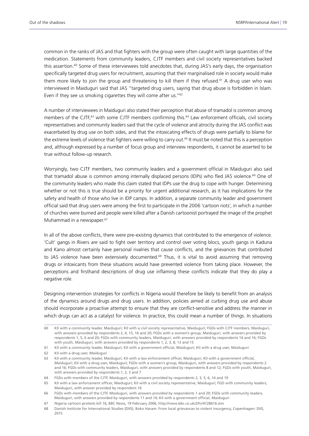common in the ranks of JAS and that fighters with the group were often caught with large quantities of the medication. Statements from community leaders, CJTF members and civil society representatives backed this assertion.<sup>60</sup> Some of these interviewees told anecdotes that, during JAS's early days, the organisation specifically targeted drug users for recruitment, assuming that their marginalised role in society would make them more likely to join the group and threatening to kill them if they refused.<sup>61</sup> A drug user who was interviewed in Maiduguri said that JAS "targeted drug users, saying that drug abuse is forbidden in Islam. Even if they see us smoking cigarettes they will come after us."62

A number of interviewees in Maiduguri also stated their perception that abuse of tramadol is common among members of the CJTF,<sup>63</sup> with some CJTF members confirming this.<sup>64</sup> Law enforcement officials, civil society representatives and community leaders said that the cycle of violence and atrocity during the JAS conflict was exacerbated by drug use on both sides, and that the intoxicating effects of drugs were partially to blame for the extreme levels of violence that fighters were willing to carry out.<sup>65</sup> It must be noted that this is a perception and, although expressed by a number of focus group and interview respondents, it cannot be asserted to be true without follow-up research.

Worryingly, two CJTF members, two community leaders and a government official in Maiduguri also said that tramadol abuse is common among internally displaced persons (IDPs) who fled JAS violence.<sup>66</sup> One of the community leaders who made this claim stated that IDPs use the drug to cope with hunger. Determining whether or not this is true should be a priority for urgent additional research, as it has implications for the safety and health of those who live in IDP camps. In addition, a separate community leader and government official said that drug users were among the first to participate in the 2006 'cartoon riots', in which a number of churches were burned and people were killed after a Danish cartoonist portrayed the image of the prophet Muhammad in a newspaper.<sup>67</sup>

In all of the above conflicts, there were pre-existing dynamics that contributed to the emergence of violence. 'Cult' gangs in Rivers are said to fight over territory and control over voting blocs, youth gangs in Kaduna and Kano almost certainly have personal rivalries that cause conflicts, and the grievances that contributed to JAS violence have been extensively documented.<sup>68</sup> Thus, it is vital to avoid assuming that removing drugs or intoxicants from these situations would have prevented violence from taking place. However, the perceptions and firsthand descriptions of drug use inflaming these conflicts indicate that they do play a negative role.

Designing intervention strategies for conflicts in Nigeria would therefore be likely to benefit from an analysis of the dynamics around drugs and drug users. In addition, policies aimed at curbing drug use and abuse should incorporate a proactive attempt to ensure that they are conflict-sensitive and address the manner in which drugs can act as a catalyst for violence. In practice, this could mean a number of things. In situations

<sup>60</sup> KII with a community leader, Maiduguri; KII with a civil society representative, Maiduguri; FGDs with CJTF members, Maiduguri, with answers provided by respondents 2, 4, 15, 16 and 20; FGDs with a women's group, Maiduguri, with answers provided by respondents 1, 5, 6 and 20; FGDs with community leaders, Maiduguri, with answers provided by respondents 14 and 16; FGDs with youth, Maiduguri, with answers provided by respondents 1, 2, 3, 8, 13 and 15

<sup>61</sup> KII with a community leader, Maiduguri; KII with a government official, Maiduguri; KII with a drug user, Maiduguri

<sup>62</sup> KII with a drug user, Maiduguri

<sup>63</sup> KII with a community leader, Maiduguri; KII with a law enforcement officer, Maiduguri; KII with a government official, Maiduguri; KII with a drug user, Maiduguri; FGDs with a women's group, Maiduguri, with answers provided by respondents 2 and 16; FGDs with community leaders, Maiduguri, with answers provided by respondents 8 and 12; FGDs with youth, Maiduguri, with answers provided by respondents 1, 2, 3 and 7

<sup>64</sup> FGDs with members of the CJTF, Maiduguri, with answers provided by respondents 2, 3, 5, 6, 14 and 19

<sup>65</sup> KII with a law enforcement officer, Maiduguri; KII with a civil society representative, Maiduguri; FGD with community leaders, Maiduguri, with answer provided by respondent 16

<sup>66</sup> FGDs with members of the CJTF, Maiduguri, with answers provided by respondents 1 and 20; FGDs with community leaders, Maiduguri, with answers provided by respondents 11 and 14; KII with a government official, Maiduguri

<sup>67</sup> Nigeria cartoon protests kill 16, BBC News, 19 February 2006,<http://news.bbc.co.uk/2/hi/4728616.stm>

<sup>68</sup> Danish Institute for International Studies (DIIS), Boko Haram: From local grievances to violent insurgency, Copenhagen: DIIS, 2015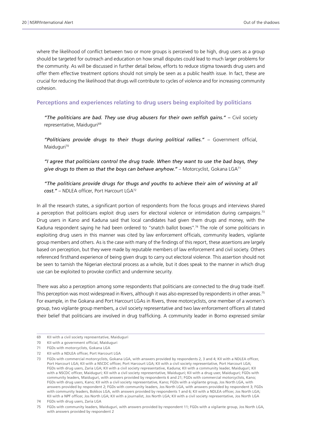where the likelihood of conflict between two or more groups is perceived to be high, drug users as a group should be targeted for outreach and education on how small disputes could lead to much larger problems for the community. As will be discussed in further detail below, efforts to reduce stigma towards drug users and offer them effective treatment options should not simply be seen as a public health issue. In fact, these are crucial for reducing the likelihood that drugs will contribute to cycles of violence and for increasing community cohesion.

#### **Perceptions and experiences relating to drug users being exploited by politicians**

*"The politicians are bad. They use drug abusers for their own selfish gains." –* Civil society representative, Maiduguri<sup>69</sup>

*"Politicians provide drugs to their thugs during political rallies."* – Government official, Maiduguri<sup>70</sup>

*"I agree that politicians control the drug trade. When they want to use the bad boys, they*  give drugs to them so that the boys can behave anyhow." - Motorcyclist, Gokana LGA<sup>71</sup>

#### *"The politicians provide drugs for thugs and youths to achieve their aim of winning at all cost."* – NDLEA officer, Port Harcourt LGA72

In all the research states, a significant portion of respondents from the focus groups and interviews shared a perception that politicians exploit drug users for electoral violence or intimidation during campaigns.<sup>73</sup> Drug users in Kano and Kaduna said that local candidates had given them drugs and money, with the Kaduna respondent saying he had been ordered to "snatch ballot boxes".<sup>74</sup> The role of some politicians in exploiting drug users in this manner was cited by law enforcement officials, community leaders, vigilante group members and others. As is the case with many of the findings of this report, these assertions are largely based on perception, but they were made by reputable members of law enforcement and civil society. Others referenced firsthand experience of being given drugs to carry out electoral violence. This assertion should not be seen to tarnish the Nigerian electoral process as a whole, but it does speak to the manner in which drug use can be exploited to provoke conflict and undermine security.

There was also a perception among some respondents that politicians are connected to the drug trade itself. This perception was most widespread in Rivers, although it was also expressed by respondents in other areas.75 For example, in the Gokana and Port Harcourt LGAs in Rivers, three motorcyclists, one member of a women's group, two vigilante group members, a civil society representative and two law enforcement officers all stated their belief that politicians are involved in drug trafficking. A community leader in Borno expressed similar

<sup>69</sup> KII with a civil society representative, Maiduguri

<sup>70</sup> KII with a government official, Maiduguri

<sup>71</sup> FGDs with motorcyclists, Gokana LGA

<sup>72</sup> KII with a NDLEA officer, Port Harcourt LGA

<sup>73</sup> FGDs with commercial motorcyclists, Gokana LGA, with answers provided by respondents 2, 3 and 4; KII with a NDLEA officer, Port Harcourt LGA; KII with a NSCDC officer, Port Harcourt LGA; KII with a civil society representative, Port Harcourt LGA; FGDs with drug users, Zaria LGA; KII with a civil society representative, Kaduna; KII with a community leader, Maiduguri; KII with a NSCDC officer, Maiduguri; KII with a civil society representative, Maiduguri; KII with a drug user, Maiduguri; FGDs with community leaders, Maiduguri, with answers provided by respondents 6 and 21; FGDs with commercial motorcyclists, Kano; FGDs with drug users, Kano; KII with a civil society representative, Kano; FGDs with a vigilante group, Jos North LGA, with answers provided by respondent 2; FGDs with community leaders, Jos North LGA, with answers provided by respondent 3; FGDs with community leaders, Bokkos LGA, with answers provided by respondents 1 and 6; KII with a NDLEA officer, Jos North LGA; KII with a NPF officer, Jos North LGA; KII with a journalist, Jos North LGA; KII with a civil society representative, Jos North LGA

<sup>74</sup> FGDs with drug users, Zaria LGA

<sup>75</sup> FGDs with community leaders, Maiduguri, with answers provided by respondent 11; FGDs with a vigilante group, Jos North LGA, with answers provided by respondent 2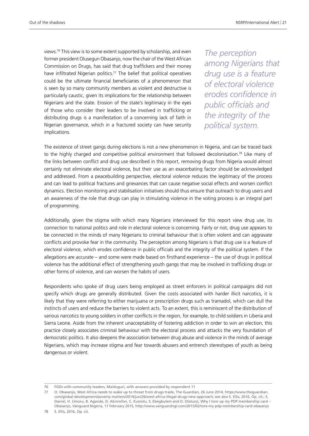views.76 This view is to some extent supported by scholarship, and even former president Olusegun Obasanjo, now the chair of the West African Commission on Drugs, has said that drug traffickers and their money have infiltrated Nigerian politics.<sup>77</sup> The belief that political operatives could be the ultimate financial beneficiaries of a phenomenon that is seen by so many community members as violent and destructive is particularly caustic, given its implications for the relationship between Nigerians and the state. Erosion of the state's legitimacy in the eyes of those who consider their leaders to be involved in trafficking or distributing drugs is a manifestation of a concerning lack of faith in Nigerian governance, which in a fractured society can have security implications.

*The perception among Nigerians that drug use is a feature of electoral violence erodes confidence in public officials and the integrity of the political system.*

The existence of street gangs during elections is not a new phenomenon in Nigeria, and can be traced back to the highly charged and competitive political environment that followed decolonisation.<sup>78</sup> Like many of the links between conflict and drug use described in this report, removing drugs from Nigeria would almost certainly not eliminate electoral violence, but their use as an exacerbating factor should be acknowledged and addressed. From a peacebuilding perspective, electoral violence reduces the legitimacy of the process and can lead to political fractures and grievances that can cause negative social effects and worsen conflict dynamics. Election monitoring and stabilisation initiatives should thus ensure that outreach to drug users and an awareness of the role that drugs can play in stimulating violence in the voting process is an integral part of programming.

Additionally, given the stigma with which many Nigerians interviewed for this report view drug use, its connection to national politics and role in electoral violence is concerning. Fairly or not, drug use appears to be connected in the minds of many Nigerians to criminal behaviour that is often violent and can aggravate conflicts and provoke fear in the community. The perception among Nigerians is that drug use is a feature of electoral violence, which erodes confidence in public officials and the integrity of the political system. If the allegations are accurate – and some were made based on firsthand experience – the use of drugs in political violence has the additional effect of strengthening youth gangs that may be involved in trafficking drugs or other forms of violence, and can worsen the habits of users.

Respondents who spoke of drug users being employed as street enforcers in political campaigns did not specify which drugs are generally distributed. Given the costs associated with harder illicit narcotics, it is likely that they were referring to either marijuana or prescription drugs such as tramadol, which can dull the instincts of users and reduce the barriers to violent acts. To an extent, this is reminiscent of the distribution of various narcotics to young soldiers in other conflicts in the region, for example, to child soldiers in Liberia and Sierra Leone. Aside from the inherent unacceptability of fostering addiction in order to win an election, this practice closely associates criminal behaviour with the electoral process and attacks the very foundation of democratic politics. It also deepens the association between drug abuse and violence in the minds of average Nigerians, which may increase stigma and fear towards abusers and entrench stereotypes of youth as being dangerous or violent.

<sup>76</sup> FGDs with community leaders, Maiduguri, with answers provided by respondent 11

<sup>77</sup> O. Obasanjo, West Africa needs to wake up to threat from drugs trade, The Guardian, 26 June 2014, [https://www.theguardian.](https://www.theguardian.com/global-development/poverty-matters/2014/jun/26/west-africa-illegal-drugs-new-approach) [com/global-development/poverty-matters/2014/jun/26/west-africa-illegal-drugs-new-approach](https://www.theguardian.com/global-development/poverty-matters/2014/jun/26/west-africa-illegal-drugs-new-approach); see also S. Ellis, 2016, Op. cit.; S. Daniel, H. Umoru, B. Agande, D. Akinrefon, C. Kumolu, S. Ebegbulem and D. Olatunji, Why I tore up my PDP membership card – Obasanjo, Vanguard Nigeria, 17 February 2015, [http://www.vanguardngr.com/2015/02/tore-my-pdp-membership-card-obasanjo](http://www.vanguardngr.com/2015/02/tore-my-pdp-membership-card-obasanjo/)

<sup>78</sup> S. Ellis, 2016, Op. cit.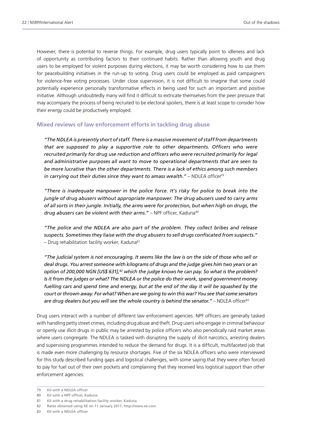However, there is potential to reverse things. For example, drug users typically point to idleness and lack of opportunity as contributing factors to their continued habits. Rather than allowing youth and drug users to be employed for violent purposes during elections, it may be worth considering how to use them for peacebuilding initiatives in the run-up to voting. Drug users could be employed as paid campaigners for violence-free voting processes. Under close supervision, it is not difficult to imagine that some could potentially experience personally transformative effects in being used for such an important and positive initiative. Although undoubtedly many will find it difficult to extricate themselves from the peer pressure that may accompany the process of being recruited to be electoral spoilers, there is at least scope to consider how their energy could be productively employed.

#### **Mixed reviews of law enforcement efforts in tackling drug abuse**

*"The NDLEA is presently short of staff. There is a massive movement of staff from departments that are supposed to play a supportive role to other departments. Officers who were recruited primarily for drug use reduction and officers who were recruited primarily for legal and administrative purposes all want to move to operational departments that are seen to be more lucrative than the other departments. There is a lack of ethics among such members*  in carrying out their duties since they want to amass wealth." – NDLEA officer<sup>79</sup>

*"There is inadequate manpower in the police force. It's risky for police to break into the jungle of drug abusers without appropriate manpower. The drug abusers used to carry arms of all sorts in their jungle. Initially, the arms were for protection, but when high on drugs, the*  drug abusers can be violent with their arms." - NPF officer, Kaduna<sup>80</sup>

*"The police and the NDLEA are also part of the problem. They collect bribes and release suspects. Sometimes they liaise with the drug abusers to sell drugs confiscated from suspects."*  $-$  Drug rehabilitation facility worker, Kaduna<sup>81</sup>

*"The judicial system is not encouraging. It seems like the law is on the side of those who sell or deal drugs. You arrest someone with kilograms of drugs and the judge gives him two years or an option of 200,000 NGN [US\$ 631],82 which the judge knows he can pay. So what is the problem? Is it from the judges or what? The NDLEA or the police do their work, spend government money fuelling cars and spend time and energy, but at the end of the day it will be squashed by the court or thrown away. For what? When are we going to win this war? You see that some senators*  are drug dealers but you will see the whole country is behind the senator." – NDLEA officer<sup>83</sup>

Drug users interact with a number of different law enforcement agencies. NPF officers are generally tasked with handling petty street crimes, including drug abuse and theft. Drug users who engage in criminal behaviour or openly use illicit drugs in public may be arrested by police officers who also periodically raid market areas where users congregate. The NDLEA is tasked with disrupting the supply of illicit narcotics, arresting dealers and supervising programmes intended to reduce the demand for drugs. It is a difficult, multifaceted job that is made even more challenging by resource shortages. Five of the six NDLEA officers who were interviewed for this study described funding gaps and logistical challenges, with some saying that they were often forced to pay for fuel out of their own pockets and complaining that they received less logistical support than other enforcement agencies.

<sup>79</sup> KII with a NDLEA officer

<sup>80</sup> KII with a NPF officer, Kaduna

<sup>81</sup> KII with a drug rehabilitation facility worker, Kaduna

<sup>82</sup> Rates obtained using XE on 11 January 2017, <http://www.xe.com>

<sup>83</sup> KII with a NDLEA officer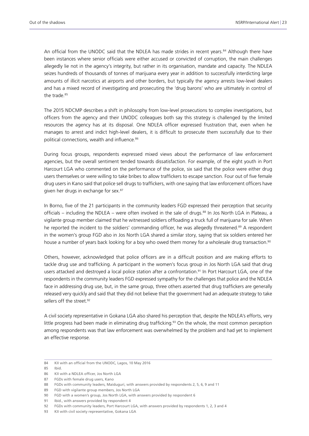An official from the UNODC said that the NDLEA has made strides in recent years.<sup>84</sup> Although there have been instances where senior officials were either accused or convicted of corruption, the main challenges allegedly lie not in the agency's integrity, but rather in its organisation, mandate and capacity. The NDLEA seizes hundreds of thousands of tonnes of marijuana every year in addition to successfully interdicting large amounts of illicit narcotics at airports and other borders, but typically the agency arrests low-level dealers and has a mixed record of investigating and prosecuting the 'drug barons' who are ultimately in control of the trade.<sup>85</sup>

The 2015 NDCMP describes a shift in philosophy from low-level prosecutions to complex investigations, but officers from the agency and their UNODC colleagues both say this strategy is challenged by the limited resources the agency has at its disposal. One NDLEA officer expressed frustration that, even when he manages to arrest and indict high-level dealers, it is difficult to prosecute them successfully due to their political connections, wealth and influence.<sup>86</sup>

During focus groups, respondents expressed mixed views about the performance of law enforcement agencies, but the overall sentiment tended towards dissatisfaction. For example, of the eight youth in Port Harcourt LGA who commented on the performance of the police, six said that the police were either drug users themselves or were willing to take bribes to allow traffickers to escape sanction. Four out of five female drug users in Kano said that police sell drugs to traffickers, with one saying that law enforcement officers have given her drugs in exchange for sex.<sup>87</sup>

In Borno, five of the 21 participants in the community leaders FGD expressed their perception that security officials – including the NDLEA – were often involved in the sale of drugs.88 In Jos North LGA in Plateau, a vigilante group member claimed that he witnessed soldiers offloading a truck full of marijuana for sale. When he reported the incident to the soldiers' commanding officer, he was allegedly threatened.<sup>89</sup> A respondent in the women's group FGD also in Jos North LGA shared a similar story, saying that six soldiers entered her house a number of years back looking for a boy who owed them money for a wholesale drug transaction.<sup>90</sup>

Others, however, acknowledged that police officers are in a difficult position and are making efforts to tackle drug use and trafficking. A participant in the women's focus group in Jos North LGA said that drug users attacked and destroyed a local police station after a confrontation.<sup>91</sup> In Port Harcourt LGA, one of the respondents in the community leaders FGD expressed sympathy for the challenges that police and the NDLEA face in addressing drug use, but, in the same group, three others asserted that drug traffickers are generally released very quickly and said that they did not believe that the government had an adequate strategy to take sellers off the street.<sup>92</sup>

A civil society representative in Gokana LGA also shared his perception that, despite the NDLEA's efforts, very little progress had been made in eliminating drug trafficking.<sup>93</sup> On the whole, the most common perception among respondents was that law enforcement was overwhelmed by the problem and had yet to implement an effective response.

<sup>84</sup> KII with an official from the UNODC, Lagos, 10 May 2016

<sup>85</sup> Ibid.

<sup>86</sup> KII with a NDLEA officer, Jos North LGA

<sup>87</sup> FGDs with female drug users, Kano

<sup>88</sup> FGDs with community leaders, Maiduguri, with answers provided by respondents 2, 5, 6, 9 and 11

<sup>89</sup> FGD with vigilante group members, Jos North LGA

<sup>90</sup> FGD with a women's group, Jos North LGA, with answers provided by respondent 6

<sup>91</sup> Ibid., with answers provided by respondent 4

<sup>92</sup> FGDs with community leaders, Port Harcourt LGA, with answers provided by respondents 1, 2, 3 and 4

<sup>93</sup> KII with civil society representative, Gokana LGA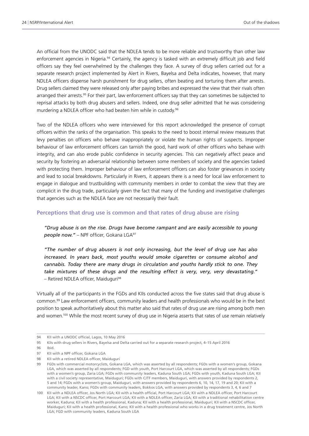An official from the UNODC said that the NDLEA tends to be more reliable and trustworthy than other law enforcement agencies in Nigeria.94 Certainly, the agency is tasked with an extremely difficult job and field officers say they feel overwhelmed by the challenges they face. A survey of drug sellers carried out for a separate research project implemented by Alert in Rivers, Bayelsa and Delta indicates, however, that many NDLEA officers dispense harsh punishment for drug sellers, often beating and torturing them after arrests. Drug sellers claimed they were released only after paying bribes and expressed the view that their rivals often arranged their arrests.95 For their part, law enforcement officers say that they can sometimes be subjected to reprisal attacks by both drug abusers and sellers. Indeed, one drug seller admitted that he was considering murdering a NDLEA officer who had beaten him while in custody.<sup>96</sup>

Two of the NDLEA officers who were interviewed for this report acknowledged the presence of corrupt officers within the ranks of the organisation. This speaks to the need to boost internal review measures that levy penalties on officers who behave inappropriately or violate the human rights of suspects. Improper behaviour of law enforcement officers can tarnish the good, hard work of other officers who behave with integrity, and can also erode public confidence in security agencies. This can negatively affect peace and security by fostering an adversarial relationship between some members of society and the agencies tasked with protecting them. Improper behaviour of law enforcement officers can also foster grievances in society and lead to social breakdowns. Particularly in Rivers, it appears there is a need for local law enforcement to engage in dialogue and trustbuilding with community members in order to combat the view that they are complicit in the drug trade, particularly given the fact that many of the funding and investigative challenges that agencies such as the NDLEA face are not necessarily their fault.

#### **Perceptions that drug use is common and that rates of drug abuse are rising**

*"Drug abuse is on the rise. Drugs have become rampant and are easily accessible to young*  people now." - NPF officer, Gokana LGA<sup>97</sup>

*"The number of drug abusers is not only increasing, but the level of drug use has also*  increased. In years back, most youths would smoke cigarettes or consume alcohol and *cannabis. Today there are many drugs in circulation and youths hardly stick to one. They take mixtures of these drugs and the resulting effect is very, very, very devastating."*  – Retired NDLEA officer, Maiduguri98

Virtually all of the participants in the FGDs and KIIs conducted across the five states said that drug abuse is common.99 Law enforcement officers, community leaders and health professionals who would be in the best position to speak authoritatively about this matter also said that rates of drug use are rising among both men and women.100 While the most recent survey of drug use in Nigeria asserts that rates of use remain relatively

100 KII with a NDLEA officer, Jos North LGA; KII with a health official, Port Harcourt LGA; KII with a NDLEA officer, Port Harcourt LGA; KII with a NSCDC officer, Port Harcourt LGA; KII with a NDLEA officer, Zaria LGA; KII with a traditional rehabilitation centre worker, Kaduna; KII with a health professional, Kaduna; KII with a health professional, Maiduguri; KII with a NSCDC officer, Maiduguri; KII with a health professional, Kano; KII with a health professional who works in a drug treatment centre, Jos North LGA; FGD with community leaders, Kaduna South LGA

<sup>94</sup> KII with a UNODC official, Lagos, 10 May 2016

<sup>95</sup> KIIs with drug sellers in Rivers, Bayelsa and Delta carried out for a separate research project, 4–15 April 2016

<sup>96</sup> Ibid.

<sup>97</sup> KII with a NPF officer, Gokana LGA

<sup>98</sup> KII with a retired NDLEA officer, Maiduguri

<sup>99</sup> FGDs with commercial motorcyclists, Gokana LGA, which was asserted by all respondents; FGDs with a women's group, Gokana LGA, which was asserted by all respondents; FGD with youth, Port Harcourt LGA, which was asserted by all respondents; FGDs with a women's group, Zaria LGA; FGDs with community leaders, Kaduna South LGA; FGDs with youth, Kaduna South LGA; KII with a civil society representative, Maiduguri; FGDs with CJTF members, Maiduguri, with answers provided by respondents 2, 5 and 14; FGDs with a women's group, Maiduguri, with answers provided by respondents 6, 10, 14, 17, 19 and 20; KII with a community leader, Kano; FGDs with community leaders, Bokkos LGA, with answers provided by respondents 3, 4, 6 and 7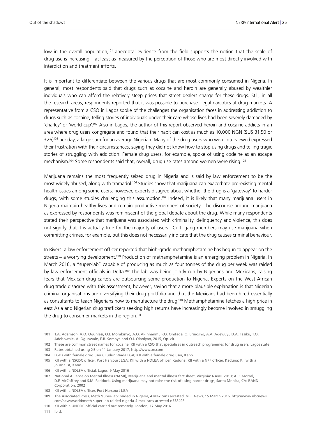low in the overall population,<sup>101</sup> anecdotal evidence from the field supports the notion that the scale of drug use is increasing – at least as measured by the perception of those who are most directly involved with interdiction and treatment efforts.

It is important to differentiate between the various drugs that are most commonly consumed in Nigeria. In general, most respondents said that drugs such as cocaine and heroin are generally abused by wealthier individuals who can afford the relatively steep prices that street dealers charge for these drugs. Still, in all the research areas, respondents reported that it was possible to purchase illegal narcotics at drug markets. A representative from a CSO in Lagos spoke of the challenges the organisation faces in addressing addiction to drugs such as cocaine, telling stories of individuals under their care whose lives had been severely damaged by 'charley' or 'world cup'.102 Also in Lagos, the author of this report observed heroin and cocaine addicts in an area where drug users congregate and found that their habit can cost as much as 10,000 NGN (\$US 31.50 or £26)103 per day, a large sum for an average Nigerian. Many of the drug users who were interviewed expressed their frustration with their circumstances, saying they did not know how to stop using drugs and telling tragic stories of struggling with addiction. Female drug users, for example, spoke of using codeine as an escape mechanism.<sup>104</sup> Some respondents said that, overall, drug use rates among women were rising.<sup>105</sup>

Marijuana remains the most frequently seized drug in Nigeria and is said by law enforcement to be the most widely abused, along with tramadol.<sup>106</sup> Studies show that marijuana can exacerbate pre-existing mental health issues among some users; however, experts disagree about whether the drug is a 'gateway' to harder drugs, with some studies challenging this assumption.<sup>107</sup> Indeed, it is likely that many marijuana users in Nigeria maintain healthy lives and remain productive members of society. The discourse around marijuana as expressed by respondents was reminiscent of the global debate about the drug. While many respondents stated their perspective that marijuana was associated with criminality, delinquency and violence, this does not signify that it is actually true for the majority of users. 'Cult' gang members may use marijuana when committing crimes, for example, but this does not necessarily indicate that the drug causes criminal behaviour.

In Rivers, a law enforcement officer reported that high-grade methamphetamine has begun to appear on the streets – a worrying development.<sup>108</sup> Production of methamphetamine is an emerging problem in Nigeria. In March 2016, a "super-lab" capable of producing as much as four tonnes of the drug per week was raided by law enforcement officials in Delta.<sup>109</sup> The lab was being jointly run by Nigerians and Mexicans, raising fears that Mexican drug cartels are outsourcing some production to Nigeria. Experts on the West African drug trade disagree with this assessment, however, saying that a more plausible explanation is that Nigerian criminal organisations are diversifying their drug portfolio and that the Mexicans had been hired essentially as consultants to teach Nigerians how to manufacture the drug.<sup>110</sup> Methamphetamine fetches a high price in east Asia and Nigerian drug traffickers seeking high returns have increasingly become involved in smuggling the drug to consumer markets in the region.<sup>111</sup>

<sup>101</sup> T.A. Adamson, A.O. Ogunlesi, O.I. Morakinyo, A.O. Akinhanmi, P.O. Onifade, O. Erinosho, A.A. Adewuyi, D.A. Fasiku, T.O. Adebowale, A. Ogunwale, E.B. Somoye and O.I. Olaniyan, 2015, Op. cit.

<sup>102</sup> These are common street names for cocaine; KII with a CSO that specialises in outreach programmes for drug users, Lagos state 103 Rates obtained using XE on 11 January 2017, <http://www.xe.com>

<sup>104</sup> FGDs with female drug users, Tudun Wada LGA; KII with a female drug user, Kano

<sup>105</sup> KII with a NSCDC officer, Port Harcourt LGA; KII with a NDLEA officer, Kaduna; KII with a NPF officer, Kaduna; KII with a journalist, Kano

<sup>106</sup> KII with a NDLEA official, Lagos, 9 May 2016

<sup>107</sup> National Alliance on Mental Illness (NAMI), Marijuana and mental illness fact sheet, Virginia: NAMI, 2013; A.R. Morral, D.F. McCaffrey and S.M. Paddock, Using marijuana may not raise the risk of using harder drugs, Santa Monica, CA: RAND Corporation, 2002

<sup>108</sup> KII with a NDLEA officer, Port Harcourt LGA

<sup>109</sup> The Associated Press, Meth 'super-lab' raided in Nigeria, 4 Mexicans arrested, NBC News, 15 March 2016, [http://www.nbcnews.](http://www.nbcnews.com/news/world/meth-super-lab-raided-nigeria-4-mexicans-arrested-n538496) [com/news/world/meth-super-lab-raided-nigeria-4-mexicans-arrested-n538496](http://www.nbcnews.com/news/world/meth-super-lab-raided-nigeria-4-mexicans-arrested-n538496)

<sup>110</sup> KII with a UNODC official carried out remotely, London, 17 May 2016

<sup>111</sup> Ibid.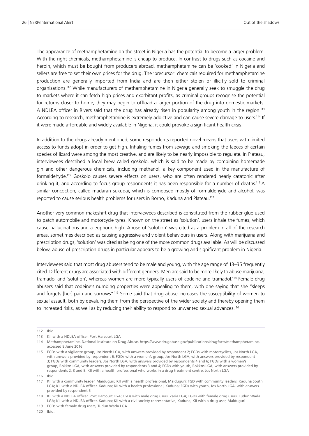The appearance of methamphetamine on the street in Nigeria has the potential to become a larger problem. With the right chemicals, methamphetamine is cheap to produce. In contrast to drugs such as cocaine and heroin, which must be bought from producers abroad, methamphetamine can be 'cooked' in Nigeria and sellers are free to set their own prices for the drug. The 'precursor' chemicals required for methamphetamine production are generally imported from India and are then either stolen or illicitly sold to criminal organisations.112 While manufacturers of methamphetamine in Nigeria generally seek to smuggle the drug to markets where it can fetch high prices and exorbitant profits, as criminal groups recognise the potential for returns closer to home, they may begin to offload a larger portion of the drug into domestic markets. A NDLEA officer in Rivers said that the drug has already risen in popularity among youth in the region.<sup>113</sup> According to research, methamphetamine is extremely addictive and can cause severe damage to users.114 If it were made affordable and widely available in Nigeria, it could provoke a significant health crisis.

In addition to the drugs already mentioned, some respondents reported novel means that users with limited access to funds adopt in order to get high. Inhaling fumes from sewage and smoking the faeces of certain species of lizard were among the most creative, and are likely to be nearly impossible to regulate. In Plateau, interviewees described a local brew called goskolo, which is said to be made by combining homemade gin and other dangerous chemicals, including methanol, a key component used in the manufacture of formaldehyde.115 Goskolo causes severe effects on users, who are often rendered nearly catatonic after drinking it, and according to focus group respondents it has been responsible for a number of deaths.<sup>116</sup> A similar concoction, called madaran sukudai, which is composed mostly of formaldehyde and alcohol, was reported to cause serious health problems for users in Borno, Kaduna and Plateau.117

Another very common makeshift drug that interviewees described is constituted from the rubber glue used to patch automobile and motorcycle tyres. Known on the street as 'solution', users inhale the fumes, which cause hallucinations and a euphoric high. Abuse of 'solution' was cited as a problem in all of the research areas, sometimes described as causing aggressive and violent behaviours in users. Along with marijuana and prescription drugs, 'solution' was cited as being one of the more common drugs available. As will be discussed below, abuse of prescription drugs in particular appears to be a growing and significant problem in Nigeria.

Interviewees said that most drug abusers tend to be male and young, with the age range of 13–35 frequently cited. Different drugs are associated with different genders. Men are said to be more likely to abuse marijuana, tramadol and 'solution', whereas women are more typically users of codeine and tramadol.118 Female drug abusers said that codeine's numbing properties were appealing to them, with one saying that she "sleeps and forgets [her] pain and sorrows".<sup>119</sup> Some said that drug abuse increases the susceptibility of women to sexual assault, both by devaluing them from the perspective of the wider society and thereby opening them to increased risks, as well as by reducing their ability to respond to unwanted sexual advances.<sup>120</sup>

<sup>112</sup> Ibid.

<sup>113</sup> KII with a NDLEA officer, Port Harcourt LGA

<sup>114</sup> Methamphetamine, National Institute on Drug Abuse, [https://www.drugabuse.gov/publications/drugfacts/methamphetamine,](https://www.drugabuse.gov/publications/drugfacts/methamphetamine) accessed 8 June 2016

<sup>115</sup> FGDs with a vigilante group, Jos North LGA, with answers provided by respondent 2; FGDs with motorcyclists, Jos North LGA, with answers provided by respondent 6; FGDs with a women's group, Jos North LGA, with answers provided by respondent 3; FGDs with community leaders, Jos North LGA, with answers provided by respondents 4 and 6; FGDs with a women's group, Bokkos LGA, with answers provided by respondents 3 and 4; FGDs with youth, Bokkos LGA, with answers provided by respondents 2, 3 and 5; KII with a health professional who works in a drug treatment centre, Jos North LGA

<sup>116</sup> Ibid.

<sup>117</sup> KII with a community leader, Maiduguri; KII with a health professional, Maiduguri; FGD with community leaders, Kaduna South LGA; KII with a NDLEA officer, Kaduna; KII with a health professional, Kaduna; FGDs with youth, Jos North LGA, with answers provided by respondent 6

<sup>118</sup> KII with a NDLEA officer, Port Harcourt LGA; FGDs with male drug users, Zaria LGA; FGDs with female drug users, Tudun Wada LGA; KII with a NDLEA officer, Kaduna; KII with a civil society representative, Kaduna; KII with a drug user, Maiduguri

<sup>119</sup> FGDs with female drug users, Tudun Wada LGA

<sup>120</sup> Ibid.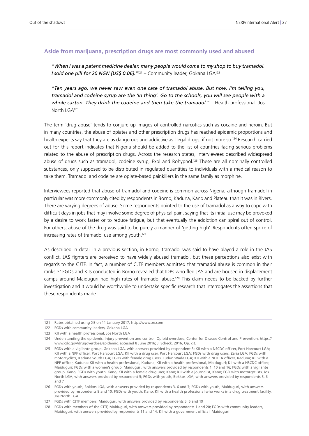#### **Aside from marijuana, prescription drugs are most commonly used and abused**

*"When I was a patent medicine dealer, many people would come to my shop to buy tramadol. I sold one pill for 20 NGN [US\$ 0.06].* "<sup>121</sup> – Community leader, Gokana LGA<sup>122</sup>

*"Ten years ago, we never saw even one case of tramadol abuse. But now, I'm telling you, tramadol and codeine syrup are the 'in thing'. Go to the schools, you will see people with a whole carton. They drink the codeine and then take the tramadol."* – Health professional, Jos North LGA123

The term 'drug abuse' tends to conjure up images of controlled narcotics such as cocaine and heroin. But in many countries, the abuse of opiates and other prescription drugs has reached epidemic proportions and health experts say that they are as dangerous and addictive as illegal drugs, if not more so.<sup>124</sup> Research carried out for this report indicates that Nigeria should be added to the list of countries facing serious problems related to the abuse of prescription drugs. Across the research states, interviewees described widespread abuse of drugs such as tramadol, codeine syrup, Exol and Rohypnol.125 These are all nominally controlled substances, only supposed to be distributed in regulated quantities to individuals with a medical reason to take them. Tramadol and codeine are opiate-based painkillers in the same family as morphine.

Interviewees reported that abuse of tramadol and codeine is common across Nigeria, although tramadol in particular was more commonly cited by respondents in Borno, Kaduna, Kano and Plateau than it was in Rivers. There are varying degrees of abuse. Some respondents pointed to the use of tramadol as a way to cope with difficult days in jobs that may involve some degree of physical pain, saying that its initial use may be provoked by a desire to work faster or to reduce fatigue, but that eventually the addiction can spiral out of control. For others, abuse of the drug was said to be purely a manner of 'getting high'. Respondents often spoke of increasing rates of tramadol use among youth.126

As described in detail in a previous section, in Borno, tramadol was said to have played a role in the JAS conflict. JAS fighters are perceived to have widely abused tramadol, but these perceptions also exist with regards to the CJTF. In fact, a number of CJTF members admitted that tramadol abuse is common in their ranks.127 FGDs and KIIs conducted in Borno revealed that IDPs who fled JAS and are housed in displacement camps around Maiduguri had high rates of tramadol abuse.<sup>128</sup> This claim needs to be backed by further investigation and it would be worthwhile to undertake specific research that interrogates the assertions that these respondents made.

<sup>121</sup> Rates obtained using XE on 11 January 2017, <http://www.xe.com>

<sup>122</sup> FGDs with community leaders, Gokana LGA

<sup>123</sup> KII with a health professional, Jos North LGA

<sup>124</sup> Understanding the epidemic, Injury prevention and control: Opioid overdose, Center for Disease Control and Prevention, [https://](https://www.cdc.gov/drugoverdose/epidemic/) [www.cdc.gov/drugoverdose/epidemic,](https://www.cdc.gov/drugoverdose/epidemic/) accessed 8 June 2016; J. Scheck, 2016, Op. cit.

<sup>125</sup> FGDs with a vigilante group, Gokana LGA, with answers provided by respondent 3; KII with a NSCDC officer, Port Harcourt LGA; KII with a NPF officer, Port Harcourt LGA; KII with a drug user, Port Harcourt LGA; FGDs with drug users, Zaria LGA; FGDs with motorcyclists, Kaduna South LGA; FGDs with female drug users, Tudun Wada LGA; KII with a NDLEA officer, Kaduna; KII with a NPF officer, Kaduna; KII with a health professional, Kaduna; KII with a health professional, Maiduguri; KII with a NSCDC officer, Maiduguri; FGDs with a women's group, Maiduguri, with answers provided by respondents 1, 10 and 16; FGDs with a vigilante group, Kano; FGDs with youth, Kano; KII with a female drug user, Kano; KII with a journalist, Kano; FGD with motorcyclists, Jos North LGA, with answers provided by respondent 5; FGDs with youth, Bokkos LGA, with answers provided by respondents 3, 6 and 7

<sup>126</sup> FGDs with youth, Bokkos LGA, with answers provided by respondents 3, 6 and 7; FGDs with youth, Maiduguri, with answers provided by respondents 8 and 10; FGDs with youth, Kano; KII with a health professional who works in a drug treatment facility, Jos North LGA

<sup>127</sup> FGDs with CJTF members, Maiduguri, with answers provided by respondents 5, 6 and 19

<sup>128</sup> FGDs with members of the CJTF, Maiduguri, with answers provided by respondents 1 and 20; FGDs with community leaders, Maiduguri, with answers provided by respondents 11 and 14; KII with a government official, Maiduguri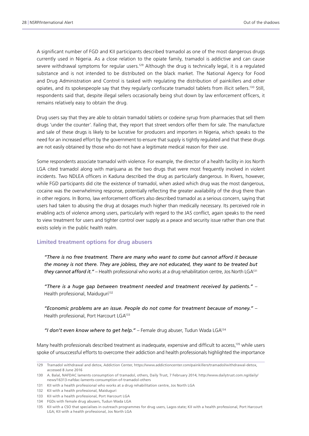A significant number of FGD and KII participants described tramadol as one of the most dangerous drugs currently used in Nigeria. As a close relation to the opiate family, tramadol is addictive and can cause severe withdrawal symptoms for regular users.<sup>129</sup> Although the drug is technically legal, it is a regulated substance and is not intended to be distributed on the black market. The National Agency for Food and Drug Administration and Control is tasked with regulating the distribution of painkillers and other opiates, and its spokespeople say that they regularly confiscate tramadol tablets from illicit sellers.130 Still, respondents said that, despite illegal sellers occasionally being shut down by law enforcement officers, it remains relatively easy to obtain the drug.

Drug users say that they are able to obtain tramadol tablets or codeine syrup from pharmacies that sell them drugs 'under the counter'. Failing that, they report that street vendors offer them for sale. The manufacture and sale of these drugs is likely to be lucrative for producers and importers in Nigeria, which speaks to the need for an increased effort by the government to ensure that supply is tightly regulated and that these drugs are not easily obtained by those who do not have a legitimate medical reason for their use.

Some respondents associate tramadol with violence. For example, the director of a health facility in Jos North LGA cited tramadol along with marijuana as the two drugs that were most frequently involved in violent incidents. Two NDLEA officers in Kaduna described the drug as particularly dangerous. In Rivers, however, while FGD participants did cite the existence of tramadol, when asked which drug was the most dangerous, cocaine was the overwhelming response, potentially reflecting the greater availability of the drug there than in other regions. In Borno, law enforcement officers also described tramadol as a serious concern, saying that users had taken to abusing the drug at dosages much higher than medically necessary. Its perceived role in enabling acts of violence among users, particularly with regard to the JAS conflict, again speaks to the need to view treatment for users and tighter control over supply as a peace and security issue rather than one that exists solely in the public health realm.

#### **Limited treatment options for drug abusers**

*"There is no free treatment. There are many who want to come but cannot afford it because the money is not there. They are jobless, they are not educated, they want to be treated but they cannot afford it."* – Health professional who works at a drug rehabilitation centre, Jos North LGA131

*"There is a huge gap between treatment needed and treatment received by patients."* – Health professional, Maiduguri<sup>132</sup>

*"Economic problems are an issue. People do not come for treatment because of money."* – Health professional, Port Harcourt LGA<sup>133</sup>

*"I don't even know where to get help."* – Female drug abuser, Tudun Wada LGA134

Many health professionals described treatment as inadequate, expensive and difficult to access,<sup>135</sup> while users spoke of unsuccessful efforts to overcome their addiction and health professionals highlighted the importance

<sup>129</sup> Tramadol withdrawal and detox, Addiction Center, [https://www.addictioncenter.com/painkillers/tramadol/withdrawal-detox,](https://www.addictioncenter.com/painkillers/tramadol/withdrawal-detox/) accessed 8 June 2016

<sup>130</sup> A. Balal, NAFDAC laments consumption of tramadol, others, Daily Trust, 7 February 2014, [http://www.dailytrust.com.ng/daily/](http://www.dailytrust.com.ng/daily/news/16313-nafdac-laments-consumption-of-tramadol-others) [news/16313-nafdac-laments-consumption-of-tramadol-others](http://www.dailytrust.com.ng/daily/news/16313-nafdac-laments-consumption-of-tramadol-others)

<sup>131</sup> KII with a health professional who works at a drug rehabilitation centre, Jos North LGA

<sup>132</sup> KII with a health professional, Maiduguri

<sup>133</sup> KII with a health professional, Port Harcourt LGA

<sup>134</sup> FGDs with female drug abusers, Tudun Wada LGA

<sup>135</sup> KII with a CSO that specialises in outreach programmes for drug users, Lagos state; KII with a health professional, Port Harcourt LGA; KII with a health professional, Jos North LGA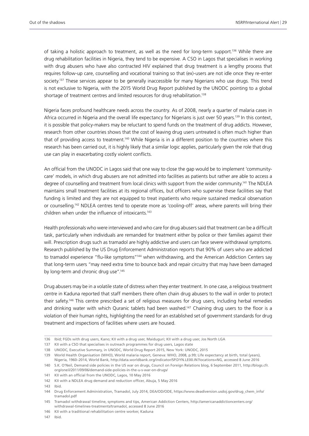of taking a holistic approach to treatment, as well as the need for long-term support.136 While there are drug rehabilitation facilities in Nigeria, they tend to be expensive. A CSO in Lagos that specialises in working with drug abusers who have also contracted HIV explained that drug treatment is a lengthy process that requires follow-up care, counselling and vocational training so that (ex)-users are not idle once they re-enter society.<sup>137</sup> These services appear to be generally inaccessible for many Nigerians who use drugs. This trend is not exclusive to Nigeria, with the 2015 World Drug Report published by the UNODC pointing to a global shortage of treatment centres and limited resources for drug rehabilitation.<sup>138</sup>

Nigeria faces profound healthcare needs across the country. As of 2008, nearly a quarter of malaria cases in Africa occurred in Nigeria and the overall life expectancy for Nigerians is just over 50 years.<sup>139</sup> In this context, it is possible that policy-makers may be reluctant to spend funds on the treatment of drug addicts. However, research from other countries shows that the cost of leaving drug users untreated is often much higher than that of providing access to treatment.140 While Nigeria is in a different position to the countries where this research has been carried out, it is highly likely that a similar logic applies, particularly given the role that drug use can play in exacerbating costly violent conflicts.

An official from the UNODC in Lagos said that one way to close the gap would be to implement 'communitycare' models, in which drug abusers are not admitted into facilities as patients but rather are able to access a degree of counselling and treatment from local clinics with support from the wider community.<sup>141</sup> The NDLEA maintains small treatment facilities at its regional offices, but officers who supervise these facilities say that funding is limited and they are not equipped to treat inpatients who require sustained medical observation or counselling.142 NDLEA centres tend to operate more as 'cooling-off' areas, where parents will bring their children when under the influence of intoxicants.<sup>143</sup>

Health professionals who were interviewed and who care for drug abusers said that treatment can be a difficult task, particularly when individuals are remanded for treatment either by police or their families against their will. Prescription drugs such as tramadol are highly addictive and users can face severe withdrawal symptoms. Research published by the US Drug Enforcement Administration reports that 90% of users who are addicted to tramadol experience "flu-like symptoms"<sup>144</sup> when withdrawing, and the American Addiction Centers say that long-term users "may need extra time to bounce back and repair circuitry that may have been damaged by long-term and chronic drug use".<sup>145</sup>

Drug abusers may be in a volatile state of distress when they enter treatment. In one case, a religious treatment centre in Kaduna reported that staff members there often chain drug abusers to the wall in order to protect their safety.146 This centre prescribed a set of religious measures for drug users, including herbal remedies and drinking water with which Quranic tablets had been washed.<sup>147</sup> Chaining drug users to the floor is a violation of their human rights, highlighting the need for an established set of government standards for drug treatment and inspections of facilities where users are housed.

147 Ibid.

<sup>136</sup> Ibid; FGDs with drug users, Kano; KII with a drug user, Maiduguri; KII with a drug user, Jos North LGA

<sup>137</sup> KII with a CSO that specialises in outreach programmes for drug users, Lagos state

<sup>138</sup> UNODC, Executive Summary, in UNODC, World Drug Report 2015, New York: UNODC, 2015

<sup>139</sup> World Health Organisation (WHO), World malaria report, Geneva: WHO, 2008, p.99; Life expectancy at birth, total (years), Nigeria, 1960–2014, World Bank, [http://data.worldbank.org/indicator/SP.DYN.LE00.IN?locations=NG,](http://data.worldbank.org/indicator/SP.DYN.LE00.IN?locations=NG) accessed 8 June 2016

<sup>140</sup> S.K. O'Neil, Demand side policies in the US war on drugs, Council on Foreign Relations blog, 6 September 2011, [http://blogs.cfr.](http://blogs.cfr.org/oneil/2011/09/06/demand-side-policies-in-the-u-s-war-on-drugs/) [org/oneil/2011/09/06/demand-side-policies-in-the-u-s-war-on-drugs/](http://blogs.cfr.org/oneil/2011/09/06/demand-side-policies-in-the-u-s-war-on-drugs/)

<sup>141</sup> KII with an official from the UNODC, Lagos, 10 May 2016

<sup>142</sup> KII with a NDLEA drug demand and reduction officer, Abuja, 5 May 2016

<sup>143</sup> Ibid.

<sup>144</sup> Drug Enforcement Administration, Tramadol, July 2014, DEA/OD/ODE, [https://www.deadiversion.usdoj.gov/drug\\_chem\\_info/](https://www.deadiversion.usdoj.gov/drug_chem_info/tramadol.pdf) [tramadol.pdf](https://www.deadiversion.usdoj.gov/drug_chem_info/tramadol.pdf)

<sup>145</sup> Tramadol withdrawal timeline, symptoms and tips, American Addiction Centers, [http://americanaddictioncenters.org/](http://americanaddictioncenters.org/withdrawal-timelines-treatments/tramadol/) [withdrawal-timelines-treatments/tramadol](http://americanaddictioncenters.org/withdrawal-timelines-treatments/tramadol/), accessed 8 June 2016

<sup>146</sup> KII with a traditional rehabilitation centre worker, Kaduna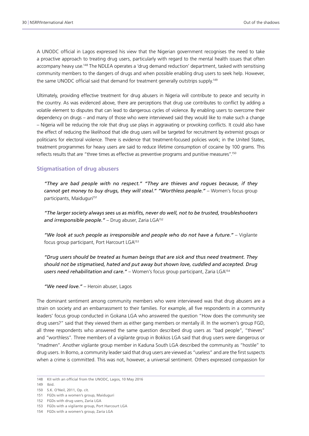A UNODC official in Lagos expressed his view that the Nigerian government recognises the need to take a proactive approach to treating drug users, particularly with regard to the mental health issues that often accompany heavy use.148 The NDLEA operates a 'drug demand reduction' department, tasked with sensitising community members to the dangers of drugs and when possible enabling drug users to seek help. However, the same UNODC official said that demand for treatment generally outstrips supply.<sup>149</sup>

Ultimately, providing effective treatment for drug abusers in Nigeria will contribute to peace and security in the country. As was evidenced above, there are perceptions that drug use contributes to conflict by adding a volatile element to disputes that can lead to dangerous cycles of violence. By enabling users to overcome their dependency on drugs – and many of those who were interviewed said they would like to make such a change – Nigeria will be reducing the role that drug use plays in aggravating or provoking conflicts. It could also have the effect of reducing the likelihood that idle drug users will be targeted for recruitment by extremist groups or politicians for electoral violence. There is evidence that treatment-focused policies work; in the United States, treatment programmes for heavy users are said to reduce lifetime consumption of cocaine by 100 grams. This reflects results that are "three times as effective as preventive programs and punitive measures".150

#### **Stigmatisation of drug abusers**

*"They are bad people with no respect." "They are thieves and rogues because, if they cannot get money to buy drugs, they will steal." "Worthless people."* – Women's focus group participants, Maiduguri<sup>151</sup>

*"The larger society always sees us as misfits, never do well, not to be trusted, troubleshooters*  and irresponsible people." - Drug abuser, Zaria LGA<sup>152</sup>

*"We look at such people as irresponsible and people who do not have a future."* – Vigilante focus group participant, Port Harcourt LGA<sup>153</sup>

*"Drug users should be treated as human beings that are sick and thus need treatment. They should not be stigmatised, hated and put away but shown love, cuddled and accepted. Drug users need rehabilitation and care."* – Women's focus group participant, Zaria LGA154

*"We need love."* – Heroin abuser, Lagos

The dominant sentiment among community members who were interviewed was that drug abusers are a strain on society and an embarrassment to their families. For example, all five respondents in a community leaders' focus group conducted in Gokana LGA who answered the question "How does the community see drug users?" said that they viewed them as either gang members or mentally ill. In the women's group FGD, all three respondents who answered the same question described drug users as "bad people", "thieves" and "worthless". Three members of a vigilante group in Bokkos LGA said that drug users were dangerous or "madmen". Another vigilante group member in Kaduna South LGA described the community as "hostile" to drug users. In Borno, a community leader said that drug users are viewed as "useless" and are the first suspects when a crime is committed. This was not, however, a universal sentiment. Others expressed compassion for

<sup>148</sup> KII with an official from the UNODC, Lagos, 10 May 2016

<sup>149</sup> Ibid.

<sup>150</sup> S.K. O'Neil, 2011, Op. cit.

<sup>151</sup> FGDs with a women's group, Maiduguri

<sup>152</sup> FGDs with drug users, Zaria LGA

<sup>153</sup> FGDs with a vigilante group, Port Harcourt LGA

<sup>154</sup> FGDs with a women's group, Zaria LGA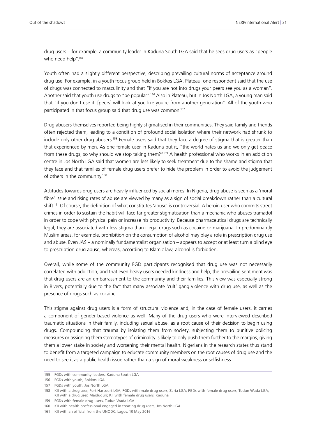drug users – for example, a community leader in Kaduna South LGA said that he sees drug users as "people who need help".<sup>155</sup>

Youth often had a slightly different perspective, describing prevailing cultural norms of acceptance around drug use. For example, in a youth focus group held in Bokkos LGA, Plateau, one respondent said that the use of drugs was connected to masculinity and that "if you are not into drugs your peers see you as a woman". Another said that youth use drugs to "be popular".156 Also in Plateau, but in Jos North LGA, a young man said that "if you don't use it, [peers] will look at you like you're from another generation". All of the youth who participated in that focus group said that drug use was common.<sup>157</sup>

Drug abusers themselves reported being highly stigmatised in their communities. They said family and friends often rejected them, leading to a condition of profound social isolation where their network had shrunk to include only other drug abusers.<sup>158</sup> Female users said that they face a degree of stigma that is greater than that experienced by men. As one female user in Kaduna put it, "the world hates us and we only get peace from these drugs, so why should we stop taking them?"159 A health professional who works in an addiction centre in Jos North LGA said that women are less likely to seek treatment due to the shame and stigma that they face and that families of female drug users prefer to hide the problem in order to avoid the judgement of others in the community.160

Attitudes towards drug users are heavily influenced by social mores. In Nigeria, drug abuse is seen as a 'moral fibre' issue and rising rates of abuse are viewed by many as a sign of social breakdown rather than a cultural shift.161 Of course, the definition of what constitutes 'abuse' is controversial. A heroin user who commits street crimes in order to sustain the habit will face far greater stigmatisation than a mechanic who abuses tramadol in order to cope with physical pain or increase his productivity. Because pharmaceutical drugs are technically legal, they are associated with less stigma than illegal drugs such as cocaine or marijuana. In predominantly Muslim areas, for example, prohibition on the consumption of alcohol may play a role in prescription drug use and abuse. Even JAS – a nominally fundamentalist organisation – appears to accept or at least turn a blind eye to prescription drug abuse, whereas, according to Islamic law, alcohol is forbidden.

Overall, while some of the community FGD participants recognised that drug use was not necessarily correlated with addiction, and that even heavy users needed kindness and help, the prevailing sentiment was that drug users are an embarrassment to the community and their families. This view was especially strong in Rivers, potentially due to the fact that many associate 'cult' gang violence with drug use, as well as the presence of drugs such as cocaine.

This stigma against drug users is a form of structural violence and, in the case of female users, it carries a component of gender-based violence as well. Many of the drug users who were interviewed described traumatic situations in their family, including sexual abuse, as a root cause of their decision to begin using drugs. Compounding that trauma by isolating them from society, subjecting them to punitive policing measures or assigning them stereotypes of criminality is likely to only push them further to the margins, giving them a lower stake in society and worsening their mental health. Nigerians in the research states thus stand to benefit from a targeted campaign to educate community members on the root causes of drug use and the need to see it as a public health issue rather than a sign of moral weakness or selfishness.

<sup>155</sup> FGDs with community leaders, Kaduna South LGA

<sup>156</sup> FGDs with youth, Bokkos LGA

<sup>157</sup> FGDs with youth, Jos North LGA

<sup>158</sup> KII with a drug user, Port Harcourt LGA; FGDs with male drug users, Zaria LGA; FGDs with female drug users, Tudun Wada LGA; KII with a drug user, Maiduguri; KII with female drug users, Kaduna

<sup>159</sup> FGDs with female drug users, Tudun Wada LGA

<sup>160</sup> KII with health professional engaged in treating drug users, Jos North LGA

<sup>161</sup> KII with an official from the UNODC, Lagos, 10 May 2016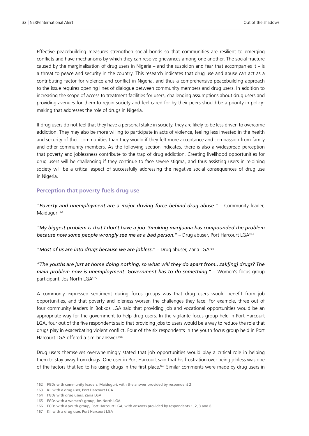Effective peacebuilding measures strengthen social bonds so that communities are resilient to emerging conflicts and have mechanisms by which they can resolve grievances among one another. The social fracture caused by the marginalisation of drug users in Nigeria – and the suspicion and fear that accompanies it – is a threat to peace and security in the country. This research indicates that drug use and abuse can act as a contributing factor for violence and conflict in Nigeria, and thus a comprehensive peacebuilding approach to the issue requires opening lines of dialogue between community members and drug users. In addition to increasing the scope of access to treatment facilities for users, challenging assumptions about drug users and providing avenues for them to rejoin society and feel cared for by their peers should be a priority in policymaking that addresses the role of drugs in Nigeria.

If drug users do not feel that they have a personal stake in society, they are likely to be less driven to overcome addiction. They may also be more willing to participate in acts of violence, feeling less invested in the health and security of their communities than they would if they felt more acceptance and compassion from family and other community members. As the following section indicates, there is also a widespread perception that poverty and joblessness contribute to the trap of drug addiction. Creating livelihood opportunities for drug users will be challenging if they continue to face severe stigma, and thus assisting users in rejoining society will be a critical aspect of successfully addressing the negative social consequences of drug use in Nigeria.

#### **Perception that poverty fuels drug use**

*"Poverty and unemployment are a major driving force behind drug abuse."* – Community leader, Maiduguri<sup>162</sup>

*"My biggest problem is that I don't have a job. Smoking marijuana has compounded the problem because now some people wrongly see me as a bad person."* – Drug abuser, Port Harcourt LGA163

*"Most of us are into drugs because we are jobless."* – Drug abuser, Zaria LGA164

*"The youths are just at home doing nothing, so what will they do apart from…tak[ing] drugs? The main problem now is unemployment. Government has to do something."* – Women's focus group participant, Jos North LGA165

A commonly expressed sentiment during focus groups was that drug users would benefit from job opportunities, and that poverty and idleness worsen the challenges they face. For example, three out of four community leaders in Bokkos LGA said that providing job and vocational opportunities would be an appropriate way for the government to help drug users. In the vigilante focus group held in Port Harcourt LGA, four out of the five respondents said that providing jobs to users would be a way to reduce the role that drugs play in exacerbating violent conflict. Four of the six respondents in the youth focus group held in Port Harcourt LGA offered a similar answer.166

Drug users themselves overwhelmingly stated that job opportunities would play a critical role in helping them to stay away from drugs. One user in Port Harcourt said that his frustration over being jobless was one of the factors that led to his using drugs in the first place.167 Similar comments were made by drug users in

<sup>162</sup> FGDs with community leaders, Maiduguri, with the answer provided by respondent 2

<sup>163</sup> KII with a drug user, Port Harcourt LGA

<sup>164</sup> FGDs with drug users, Zaria LGA

<sup>165</sup> FGDs with a women's group, Jos North LGA

<sup>166</sup> FGDs with a youth group, Port Harcourt LGA, with answers provided by respondents 1, 2, 3 and 6

<sup>167</sup> KII with a drug user, Port Harcourt LGA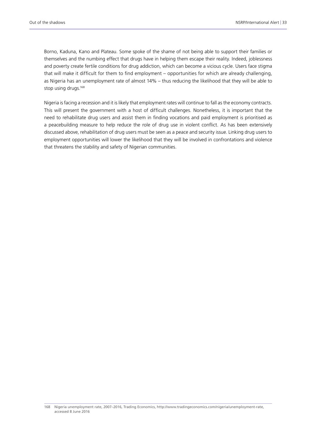Borno, Kaduna, Kano and Plateau. Some spoke of the shame of not being able to support their families or themselves and the numbing effect that drugs have in helping them escape their reality. Indeed, joblessness and poverty create fertile conditions for drug addiction, which can become a vicious cycle. Users face stigma that will make it difficult for them to find employment – opportunities for which are already challenging, as Nigeria has an unemployment rate of almost 14% – thus reducing the likelihood that they will be able to stop using drugs.<sup>168</sup>

Nigeria is facing a recession and it is likely that employment rates will continue to fall as the economy contracts. This will present the government with a host of difficult challenges. Nonetheless, it is important that the need to rehabilitate drug users and assist them in finding vocations and paid employment is prioritised as a peacebuilding measure to help reduce the role of drug use in violent conflict. As has been extensively discussed above, rehabilitation of drug users must be seen as a peace and security issue. Linking drug users to employment opportunities will lower the likelihood that they will be involved in confrontations and violence that threatens the stability and safety of Nigerian communities.

<sup>168</sup> Nigeria unemployment rate, 2007–2016, Trading Economics, [http://www.tradingeconomics.com/nigeria/unemployment-rate,](http://www.tradingeconomics.com/nigeria/unemployment-rate) accessed 8 June 2016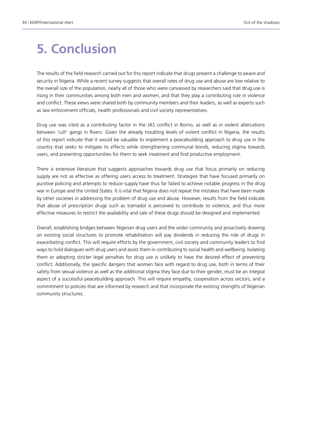## **5. Conclusion**

The results of the field research carried out for this report indicate that drugs present a challenge to peace and security in Nigeria. While a recent survey suggests that overall rates of drug use and abuse are low relative to the overall size of the population, nearly all of those who were canvassed by researchers said that drug use is rising in their communities among both men and women, and that they play a contributing role in violence and conflict. These views were shared both by community members and their leaders, as well as experts such as law enforcement officials, health professionals and civil society representatives.

Drug use was cited as a contributing factor in the JAS conflict in Borno, as well as in violent altercations between 'cult' gangs in Rivers. Given the already troubling levels of violent conflict in Nigeria, the results of this report indicate that it would be valuable to implement a peacebuilding approach to drug use in the country that seeks to mitigate its effects while strengthening communal bonds, reducing stigma towards users, and presenting opportunities for them to seek treatment and find productive employment.

There is extensive literature that suggests approaches towards drug use that focus primarily on reducing supply are not as effective as offering users access to treatment. Strategies that have focused primarily on punitive policing and attempts to reduce supply have thus far failed to achieve notable progress in the drug war in Europe and the United States. It is vital that Nigeria does not repeat the mistakes that have been made by other societies in addressing the problem of drug use and abuse. However, results from the field indicate that abuse of prescription drugs such as tramadol is perceived to contribute to violence, and thus more effective measures to restrict the availability and sale of these drugs should be designed and implemented.

Overall, establishing bridges between Nigerian drug users and the wider community and proactively drawing on existing social structures to promote rehabilitation will pay dividends in reducing the role of drugs in exacerbating conflict. This will require efforts by the government, civil society and community leaders to find ways to hold dialogues with drug users and assist them in contributing to social health and wellbeing. Isolating them or adopting stricter legal penalties for drug use is unlikely to have the desired effect of preventing conflict. Additionally, the specific dangers that women face with regard to drug use, both in terms of their safety from sexual violence as well as the additional stigma they face due to their gender, must be an integral aspect of a successful peacebuilding approach. This will require empathy, cooperation across sectors, and a commitment to policies that are informed by research and that incorporate the existing strengths of Nigerian community structures.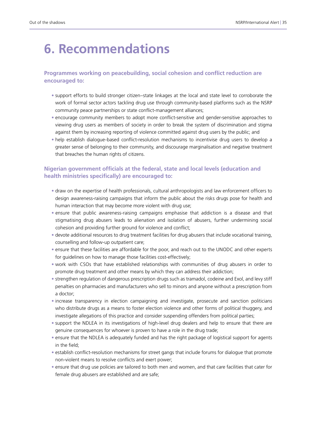# **6. Recommendations**

#### **Programmes working on peacebuilding, social cohesion and conflict reduction are encouraged to:**

- support efforts to build stronger citizen–state linkages at the local and state level to corroborate the work of formal sector actors tackling drug use through community-based platforms such as the NSRP community peace partnerships or state conflict-management alliances;
- encourage community members to adopt more conflict-sensitive and gender-sensitive approaches to viewing drug users as members of society in order to break the system of discrimination and stigma against them by increasing reporting of violence committed against drug users by the public; and
- help establish dialogue-based conflict-resolution mechanisms to incentivise drug users to develop a greater sense of belonging to their community, and discourage marginalisation and negative treatment that breaches the human rights of citizens.

#### **Nigerian government officials at the federal, state and local levels (education and health ministries specifically) are encouraged to:**

- draw on the expertise of health professionals, cultural anthropologists and law enforcement officers to design awareness-raising campaigns that inform the public about the risks drugs pose for health and human interaction that may become more violent with drug use;
- ensure that public awareness-raising campaigns emphasise that addiction is a disease and that stigmatising drug abusers leads to alienation and isolation of abusers, further undermining social cohesion and providing further ground for violence and conflict;
- devote additional resources to drug treatment facilities for drug abusers that include vocational training, counselling and follow-up outpatient care;
- ensure that these facilities are affordable for the poor, and reach out to the UNODC and other experts for guidelines on how to manage those facilities cost-effectively;
- work with CSOs that have established relationships with communities of drug abusers in order to promote drug treatment and other means by which they can address their addiction;
- strengthen regulation of dangerous prescription drugs such as tramadol, codeine and Exol, and levy stiff penalties on pharmacies and manufacturers who sell to minors and anyone without a prescription from a doctor;
- increase transparency in election campaigning and investigate, prosecute and sanction politicians who distribute drugs as a means to foster election violence and other forms of political thuggery, and investigate allegations of this practice and consider suspending offenders from political parties;
- support the NDLEA in its investigations of high-level drug dealers and help to ensure that there are genuine consequences for whoever is proven to have a role in the drug trade;
- ensure that the NDLEA is adequately funded and has the right package of logistical support for agents in the field;
- establish conflict-resolution mechanisms for street gangs that include forums for dialogue that promote non-violent means to resolve conflicts and exert power;
- ensure that drug use policies are tailored to both men and women, and that care facilities that cater for female drug abusers are established and are safe;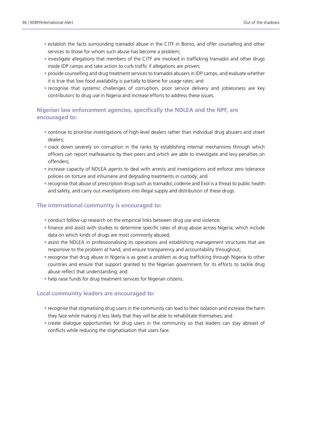- establish the facts surrounding tramadol abuse in the CJTF in Borno, and offer counselling and other services to those for whom such abuse has become a problem;
- investigate allegations that members of the CJTF are involved in trafficking tramadol and other drugs inside IDP camps and take action to curb traffic if allegations are proven;
- provide counselling and drug treatment services to tramadol abusers in IDP camps, and evaluate whether it is true that low food availability is partially to blame for usage rates; and
- recognise that systemic challenges of corruption, poor service delivery and joblessness are key contributors to drug use in Nigeria and increase efforts to address these issues.

#### **Nigerian law enforcement agencies, specifically the NDLEA and the NPF, are encouraged to:**

- continue to prioritise investigations of high-level dealers rather than individual drug abusers and street dealers;
- crack down severely on corruption in the ranks by establishing internal mechanisms through which officers can report malfeasance by their peers and which are able to investigate and levy penalties on offenders;
- increase capacity of NDLEA agents to deal with arrests and investigations and enforce zero tolerance policies on torture and inhumane and degrading treatments in custody; and
- recognise that abuse of prescription drugs such as tramadol, codeine and Exol is a threat to public health and safety, and carry out investigations into illegal supply and distribution of these drugs.

#### **The international community is encouraged to:**

- conduct follow-up research on the empirical links between drug use and violence;
- finance and assist with studies to determine specific rates of drug abuse across Nigeria, which include data on which kinds of drugs are most commonly abused;
- assist the NDLEA in professionalising its operations and establishing management structures that are responsive to the problem at hand, and ensure transparency and accountability throughout;
- recognise that drug abuse in Nigeria is as great a problem as drug trafficking through Nigeria to other countries and ensure that support granted to the Nigerian government for its efforts to tackle drug abuse reflect that understanding; and
- help raise funds for drug treatment services for Nigerian citizens.

#### **Local community leaders are encouraged to:**

- recognise that stigmatising drug users in the community can lead to their isolation and increase the harm they face while making it less likely that they will be able to rehabilitate themselves; and
- create dialogue opportunities for drug users in the community so that leaders can stay abreast of conflicts while reducing the stigmatisation that users face.